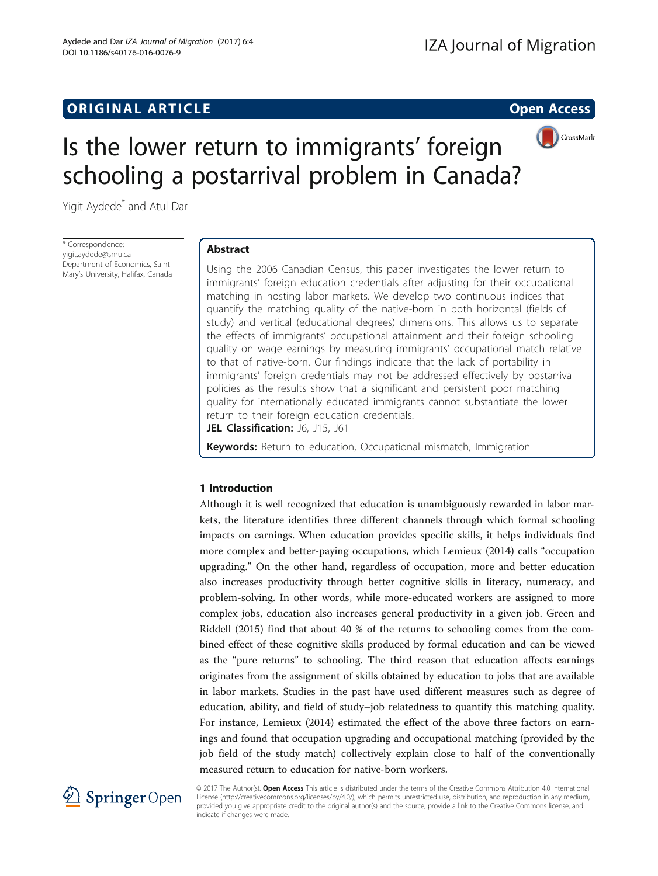CrossMark

# Is the lower return to immigrants' foreign schooling a postarrival problem in Canada?

Yigit Aydede<sup>\*</sup> and Atul Dar

\* Correspondence: [yigit.aydede@smu.ca](mailto:yigit.aydede@smu.ca) Department of Economics, Saint Mary's University, Halifax, Canada

# Abstract

Using the 2006 Canadian Census, this paper investigates the lower return to immigrants' foreign education credentials after adjusting for their occupational matching in hosting labor markets. We develop two continuous indices that quantify the matching quality of the native-born in both horizontal (fields of study) and vertical (educational degrees) dimensions. This allows us to separate the effects of immigrants' occupational attainment and their foreign schooling quality on wage earnings by measuring immigrants' occupational match relative to that of native-born. Our findings indicate that the lack of portability in immigrants' foreign credentials may not be addressed effectively by postarrival policies as the results show that a significant and persistent poor matching quality for internationally educated immigrants cannot substantiate the lower return to their foreign education credentials.

JEL Classification: J6, J15, J61

Keywords: Return to education, Occupational mismatch, Immigration

## 1 Introduction

Although it is well recognized that education is unambiguously rewarded in labor markets, the literature identifies three different channels through which formal schooling impacts on earnings. When education provides specific skills, it helps individuals find more complex and better-paying occupations, which Lemieux ([2014\)](#page-23-0) calls "occupation upgrading." On the other hand, regardless of occupation, more and better education also increases productivity through better cognitive skills in literacy, numeracy, and problem-solving. In other words, while more-educated workers are assigned to more complex jobs, education also increases general productivity in a given job. Green and Riddell ([2015\)](#page-23-0) find that about 40 % of the returns to schooling comes from the combined effect of these cognitive skills produced by formal education and can be viewed as the "pure returns" to schooling. The third reason that education affects earnings originates from the assignment of skills obtained by education to jobs that are available in labor markets. Studies in the past have used different measures such as degree of education, ability, and field of study–job relatedness to quantify this matching quality. For instance, Lemieux ([2014](#page-23-0)) estimated the effect of the above three factors on earnings and found that occupation upgrading and occupational matching (provided by the job field of the study match) collectively explain close to half of the conventionally measured return to education for native-born workers.



© 2017 The Author(s). Open Access This article is distributed under the terms of the Creative Commons Attribution 4.0 International License [\(http://creativecommons.org/licenses/by/4.0/](http://creativecommons.org/licenses/by/4.0/)), which permits unrestricted use, distribution, and reproduction in any medium, provided you give appropriate credit to the original author(s) and the source, provide a link to the Creative Commons license, and indicate if changes were made.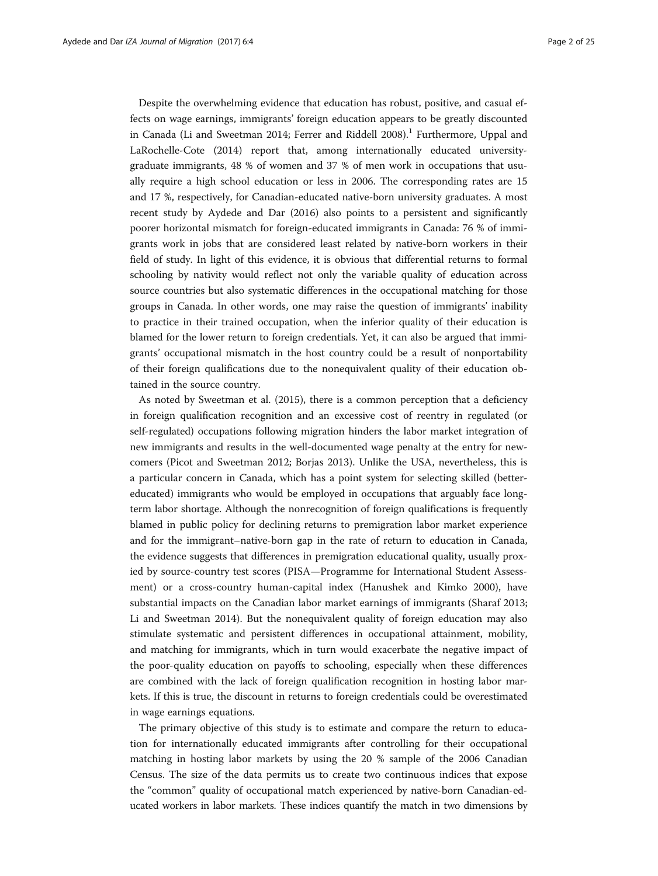Despite the overwhelming evidence that education has robust, positive, and casual effects on wage earnings, immigrants' foreign education appears to be greatly discounted in Canada (Li and Sweetman [2014;](#page-23-0) Ferrer and Riddell [2008\)](#page-23-0).<sup>1</sup> Furthermore, Uppal and LaRochelle-Cote ([2014](#page-24-0)) report that, among internationally educated universitygraduate immigrants, 48 % of women and 37 % of men work in occupations that usually require a high school education or less in 2006. The corresponding rates are 15 and 17 %, respectively, for Canadian-educated native-born university graduates. A most recent study by Aydede and Dar ([2016\)](#page-23-0) also points to a persistent and significantly poorer horizontal mismatch for foreign-educated immigrants in Canada: 76 % of immigrants work in jobs that are considered least related by native-born workers in their field of study. In light of this evidence, it is obvious that differential returns to formal schooling by nativity would reflect not only the variable quality of education across source countries but also systematic differences in the occupational matching for those groups in Canada. In other words, one may raise the question of immigrants' inability to practice in their trained occupation, when the inferior quality of their education is blamed for the lower return to foreign credentials. Yet, it can also be argued that immigrants' occupational mismatch in the host country could be a result of nonportability of their foreign qualifications due to the nonequivalent quality of their education obtained in the source country.

As noted by Sweetman et al. ([2015\)](#page-24-0), there is a common perception that a deficiency in foreign qualification recognition and an excessive cost of reentry in regulated (or self-regulated) occupations following migration hinders the labor market integration of new immigrants and results in the well-documented wage penalty at the entry for newcomers (Picot and Sweetman [2012;](#page-23-0) Borjas [2013](#page-23-0)). Unlike the USA, nevertheless, this is a particular concern in Canada, which has a point system for selecting skilled (bettereducated) immigrants who would be employed in occupations that arguably face longterm labor shortage. Although the nonrecognition of foreign qualifications is frequently blamed in public policy for declining returns to premigration labor market experience and for the immigrant–native-born gap in the rate of return to education in Canada, the evidence suggests that differences in premigration educational quality, usually proxied by source-country test scores (PISA—Programme for International Student Assessment) or a cross-country human-capital index (Hanushek and Kimko [2000](#page-23-0)), have substantial impacts on the Canadian labor market earnings of immigrants (Sharaf [2013](#page-24-0); Li and Sweetman [2014](#page-23-0)). But the nonequivalent quality of foreign education may also stimulate systematic and persistent differences in occupational attainment, mobility, and matching for immigrants, which in turn would exacerbate the negative impact of the poor-quality education on payoffs to schooling, especially when these differences are combined with the lack of foreign qualification recognition in hosting labor markets. If this is true, the discount in returns to foreign credentials could be overestimated in wage earnings equations.

The primary objective of this study is to estimate and compare the return to education for internationally educated immigrants after controlling for their occupational matching in hosting labor markets by using the 20 % sample of the 2006 Canadian Census. The size of the data permits us to create two continuous indices that expose the "common" quality of occupational match experienced by native-born Canadian-educated workers in labor markets. These indices quantify the match in two dimensions by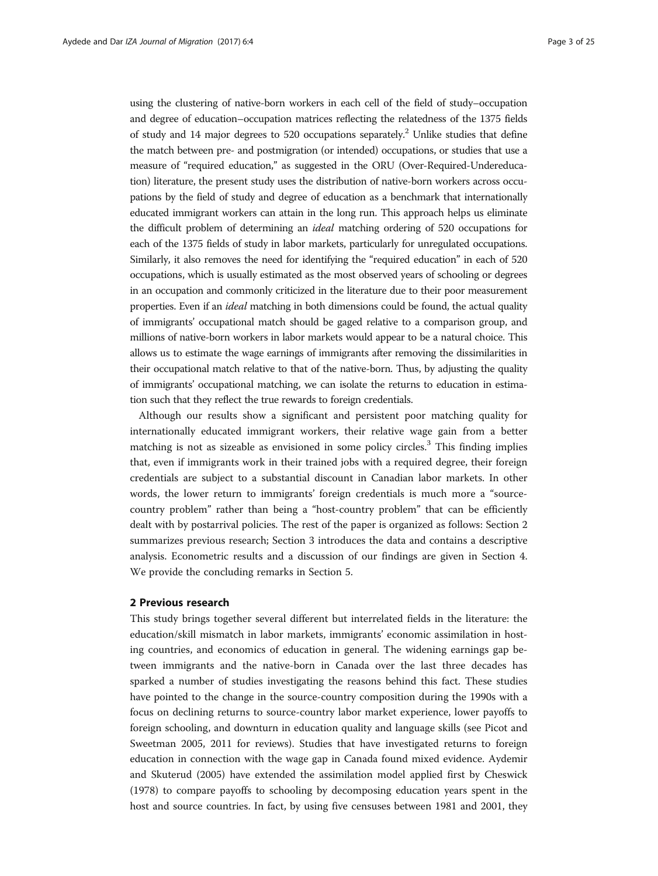using the clustering of native-born workers in each cell of the field of study–occupation and degree of education–occupation matrices reflecting the relatedness of the 1375 fields of study and 14 major degrees to 520 occupations separately.<sup>2</sup> Unlike studies that define the match between pre- and postmigration (or intended) occupations, or studies that use a measure of "required education," as suggested in the ORU (Over-Required-Undereducation) literature, the present study uses the distribution of native-born workers across occupations by the field of study and degree of education as a benchmark that internationally educated immigrant workers can attain in the long run. This approach helps us eliminate the difficult problem of determining an ideal matching ordering of 520 occupations for each of the 1375 fields of study in labor markets, particularly for unregulated occupations. Similarly, it also removes the need for identifying the "required education" in each of 520 occupations, which is usually estimated as the most observed years of schooling or degrees in an occupation and commonly criticized in the literature due to their poor measurement properties. Even if an ideal matching in both dimensions could be found, the actual quality of immigrants' occupational match should be gaged relative to a comparison group, and millions of native-born workers in labor markets would appear to be a natural choice. This allows us to estimate the wage earnings of immigrants after removing the dissimilarities in their occupational match relative to that of the native-born. Thus, by adjusting the quality of immigrants' occupational matching, we can isolate the returns to education in estimation such that they reflect the true rewards to foreign credentials.

Although our results show a significant and persistent poor matching quality for internationally educated immigrant workers, their relative wage gain from a better matching is not as sizeable as envisioned in some policy circles.<sup>3</sup> This finding implies that, even if immigrants work in their trained jobs with a required degree, their foreign credentials are subject to a substantial discount in Canadian labor markets. In other words, the lower return to immigrants' foreign credentials is much more a "sourcecountry problem" rather than being a "host-country problem" that can be efficiently dealt with by postarrival policies. The rest of the paper is organized as follows: Section 2 summarizes previous research; Section [3](#page-5-0) introduces the data and contains a descriptive analysis. Econometric results and a discussion of our findings are given in Section [4](#page-11-0). We provide the concluding remarks in Section [5](#page-20-0).

### 2 Previous research

This study brings together several different but interrelated fields in the literature: the education/skill mismatch in labor markets, immigrants' economic assimilation in hosting countries, and economics of education in general. The widening earnings gap between immigrants and the native-born in Canada over the last three decades has sparked a number of studies investigating the reasons behind this fact. These studies have pointed to the change in the source-country composition during the 1990s with a focus on declining returns to source-country labor market experience, lower payoffs to foreign schooling, and downturn in education quality and language skills (see Picot and Sweetman [2005, 2011](#page-23-0) for reviews). Studies that have investigated returns to foreign education in connection with the wage gap in Canada found mixed evidence. Aydemir and Skuterud [\(2005\)](#page-23-0) have extended the assimilation model applied first by Cheswick ([1978](#page-23-0)) to compare payoffs to schooling by decomposing education years spent in the host and source countries. In fact, by using five censuses between 1981 and 2001, they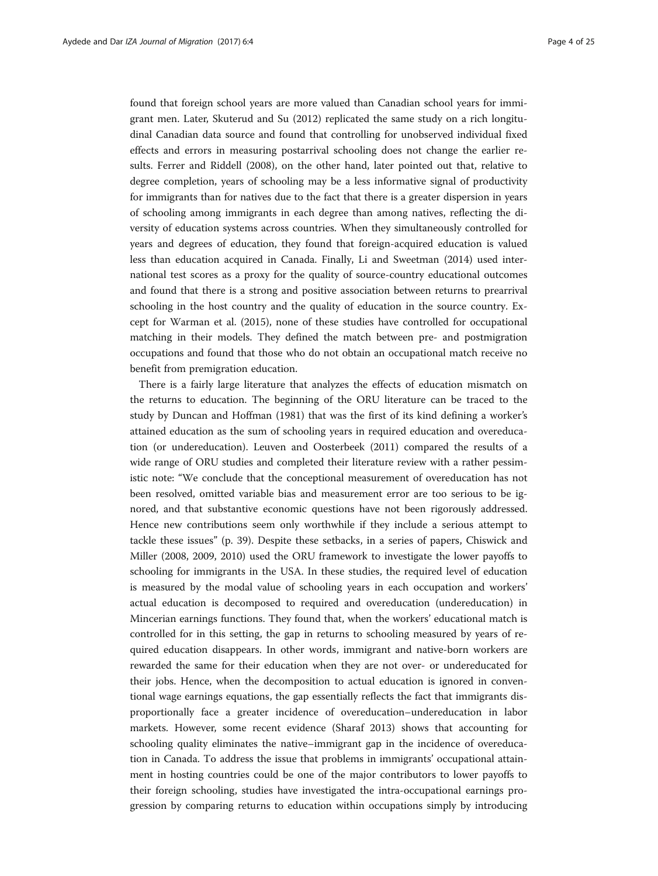found that foreign school years are more valued than Canadian school years for immigrant men. Later, Skuterud and Su [\(2012\)](#page-24-0) replicated the same study on a rich longitudinal Canadian data source and found that controlling for unobserved individual fixed effects and errors in measuring postarrival schooling does not change the earlier results. Ferrer and Riddell [\(2008\)](#page-23-0), on the other hand, later pointed out that, relative to degree completion, years of schooling may be a less informative signal of productivity for immigrants than for natives due to the fact that there is a greater dispersion in years of schooling among immigrants in each degree than among natives, reflecting the diversity of education systems across countries. When they simultaneously controlled for years and degrees of education, they found that foreign-acquired education is valued less than education acquired in Canada. Finally, Li and Sweetman [\(2014\)](#page-23-0) used international test scores as a proxy for the quality of source-country educational outcomes and found that there is a strong and positive association between returns to prearrival schooling in the host country and the quality of education in the source country. Except for Warman et al. [\(2015\)](#page-24-0), none of these studies have controlled for occupational matching in their models. They defined the match between pre- and postmigration occupations and found that those who do not obtain an occupational match receive no benefit from premigration education.

There is a fairly large literature that analyzes the effects of education mismatch on the returns to education. The beginning of the ORU literature can be traced to the study by Duncan and Hoffman [\(1981\)](#page-23-0) that was the first of its kind defining a worker's attained education as the sum of schooling years in required education and overeducation (or undereducation). Leuven and Oosterbeek [\(2011\)](#page-23-0) compared the results of a wide range of ORU studies and completed their literature review with a rather pessimistic note: "We conclude that the conceptional measurement of overeducation has not been resolved, omitted variable bias and measurement error are too serious to be ignored, and that substantive economic questions have not been rigorously addressed. Hence new contributions seem only worthwhile if they include a serious attempt to tackle these issues" (p. 39). Despite these setbacks, in a series of papers, Chiswick and Miller [\(2008, 2009](#page-23-0), [2010](#page-23-0)) used the ORU framework to investigate the lower payoffs to schooling for immigrants in the USA. In these studies, the required level of education is measured by the modal value of schooling years in each occupation and workers' actual education is decomposed to required and overeducation (undereducation) in Mincerian earnings functions. They found that, when the workers' educational match is controlled for in this setting, the gap in returns to schooling measured by years of required education disappears. In other words, immigrant and native-born workers are rewarded the same for their education when they are not over- or undereducated for their jobs. Hence, when the decomposition to actual education is ignored in conventional wage earnings equations, the gap essentially reflects the fact that immigrants disproportionally face a greater incidence of overeducation–undereducation in labor markets. However, some recent evidence (Sharaf [2013\)](#page-24-0) shows that accounting for schooling quality eliminates the native–immigrant gap in the incidence of overeducation in Canada. To address the issue that problems in immigrants' occupational attainment in hosting countries could be one of the major contributors to lower payoffs to their foreign schooling, studies have investigated the intra-occupational earnings progression by comparing returns to education within occupations simply by introducing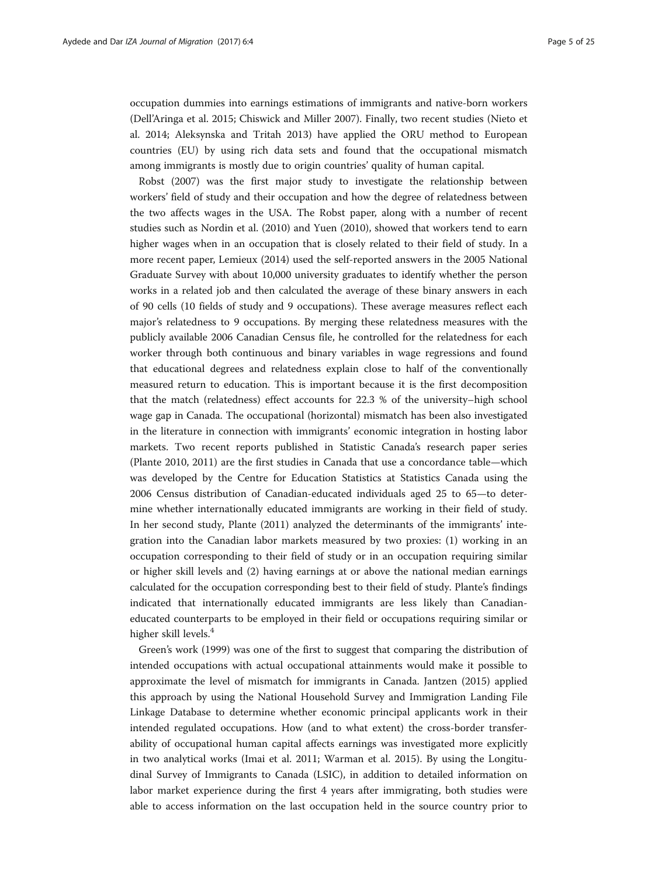occupation dummies into earnings estimations of immigrants and native-born workers (Dell'Aringa et al. [2015; Chiswick and Miller 2007](#page-23-0)). Finally, two recent studies (Nieto et al. [2014](#page-23-0); Aleksynska and Tritah [2013](#page-23-0)) have applied the ORU method to European countries (EU) by using rich data sets and found that the occupational mismatch among immigrants is mostly due to origin countries' quality of human capital.

Robst [\(2007\)](#page-24-0) was the first major study to investigate the relationship between workers' field of study and their occupation and how the degree of relatedness between the two affects wages in the USA. The Robst paper, along with a number of recent studies such as Nordin et al. [\(2010\)](#page-23-0) and Yuen [\(2010\)](#page-24-0), showed that workers tend to earn higher wages when in an occupation that is closely related to their field of study. In a more recent paper, Lemieux [\(2014\)](#page-23-0) used the self-reported answers in the 2005 National Graduate Survey with about 10,000 university graduates to identify whether the person works in a related job and then calculated the average of these binary answers in each of 90 cells (10 fields of study and 9 occupations). These average measures reflect each major's relatedness to 9 occupations. By merging these relatedness measures with the publicly available 2006 Canadian Census file, he controlled for the relatedness for each worker through both continuous and binary variables in wage regressions and found that educational degrees and relatedness explain close to half of the conventionally measured return to education. This is important because it is the first decomposition that the match (relatedness) effect accounts for 22.3 % of the university–high school wage gap in Canada. The occupational (horizontal) mismatch has been also investigated in the literature in connection with immigrants' economic integration in hosting labor markets. Two recent reports published in Statistic Canada's research paper series (Plante [2010, 2011\)](#page-24-0) are the first studies in Canada that use a concordance table—which was developed by the Centre for Education Statistics at Statistics Canada using the 2006 Census distribution of Canadian-educated individuals aged 25 to 65—to determine whether internationally educated immigrants are working in their field of study. In her second study, Plante ([2011\)](#page-24-0) analyzed the determinants of the immigrants' integration into the Canadian labor markets measured by two proxies: (1) working in an occupation corresponding to their field of study or in an occupation requiring similar or higher skill levels and (2) having earnings at or above the national median earnings calculated for the occupation corresponding best to their field of study. Plante's findings indicated that internationally educated immigrants are less likely than Canadianeducated counterparts to be employed in their field or occupations requiring similar or higher skill levels.<sup>4</sup>

Green's work ([1999](#page-23-0)) was one of the first to suggest that comparing the distribution of intended occupations with actual occupational attainments would make it possible to approximate the level of mismatch for immigrants in Canada. Jantzen [\(2015\)](#page-23-0) applied this approach by using the National Household Survey and Immigration Landing File Linkage Database to determine whether economic principal applicants work in their intended regulated occupations. How (and to what extent) the cross-border transferability of occupational human capital affects earnings was investigated more explicitly in two analytical works ([Imai et al. 2011;](#page-23-0) Warman et al. [2015\)](#page-24-0). By using the Longitudinal Survey of Immigrants to Canada (LSIC), in addition to detailed information on labor market experience during the first 4 years after immigrating, both studies were able to access information on the last occupation held in the source country prior to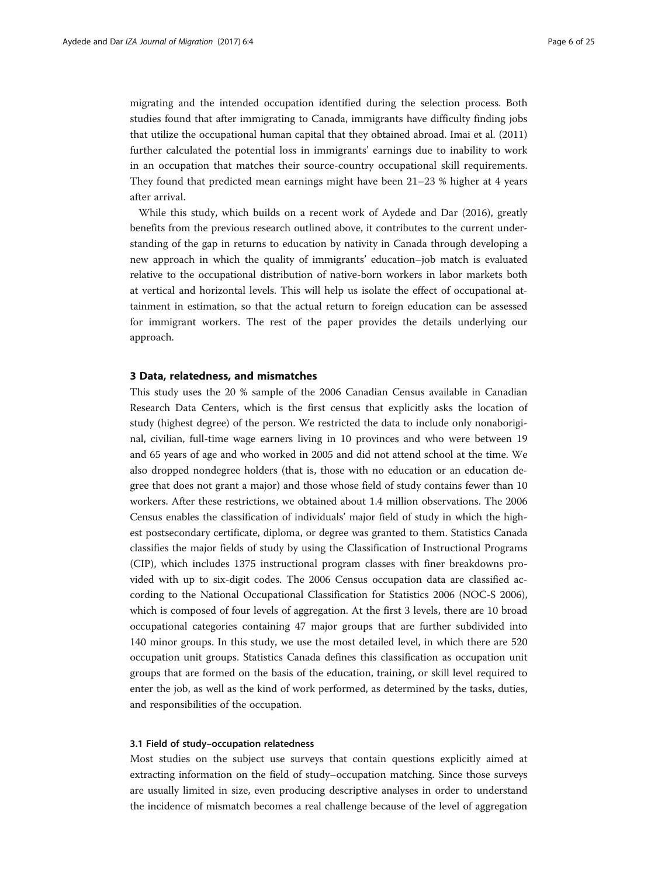<span id="page-5-0"></span>migrating and the intended occupation identified during the selection process. Both studies found that after immigrating to Canada, immigrants have difficulty finding jobs that utilize the occupational human capital that they obtained abroad. Imai et al. ([2011](#page-23-0)) further calculated the potential loss in immigrants' earnings due to inability to work in an occupation that matches their source-country occupational skill requirements. They found that predicted mean earnings might have been 21–23 % higher at 4 years after arrival.

While this study, which builds on a recent work of Aydede and Dar ([2016](#page-23-0)), greatly benefits from the previous research outlined above, it contributes to the current understanding of the gap in returns to education by nativity in Canada through developing a new approach in which the quality of immigrants' education–job match is evaluated relative to the occupational distribution of native-born workers in labor markets both at vertical and horizontal levels. This will help us isolate the effect of occupational attainment in estimation, so that the actual return to foreign education can be assessed for immigrant workers. The rest of the paper provides the details underlying our approach.

#### 3 Data, relatedness, and mismatches

This study uses the 20 % sample of the 2006 Canadian Census available in Canadian Research Data Centers, which is the first census that explicitly asks the location of study (highest degree) of the person. We restricted the data to include only nonaboriginal, civilian, full-time wage earners living in 10 provinces and who were between 19 and 65 years of age and who worked in 2005 and did not attend school at the time. We also dropped nondegree holders (that is, those with no education or an education degree that does not grant a major) and those whose field of study contains fewer than 10 workers. After these restrictions, we obtained about 1.4 million observations. The 2006 Census enables the classification of individuals' major field of study in which the highest postsecondary certificate, diploma, or degree was granted to them. Statistics Canada classifies the major fields of study by using the Classification of Instructional Programs (CIP), which includes 1375 instructional program classes with finer breakdowns provided with up to six-digit codes. The 2006 Census occupation data are classified according to the National Occupational Classification for Statistics 2006 (NOC-S 2006), which is composed of four levels of aggregation. At the first 3 levels, there are 10 broad occupational categories containing 47 major groups that are further subdivided into 140 minor groups. In this study, we use the most detailed level, in which there are 520 occupation unit groups. Statistics Canada defines this classification as occupation unit groups that are formed on the basis of the education, training, or skill level required to enter the job, as well as the kind of work performed, as determined by the tasks, duties, and responsibilities of the occupation.

### 3.1 Field of study–occupation relatedness

Most studies on the subject use surveys that contain questions explicitly aimed at extracting information on the field of study–occupation matching. Since those surveys are usually limited in size, even producing descriptive analyses in order to understand the incidence of mismatch becomes a real challenge because of the level of aggregation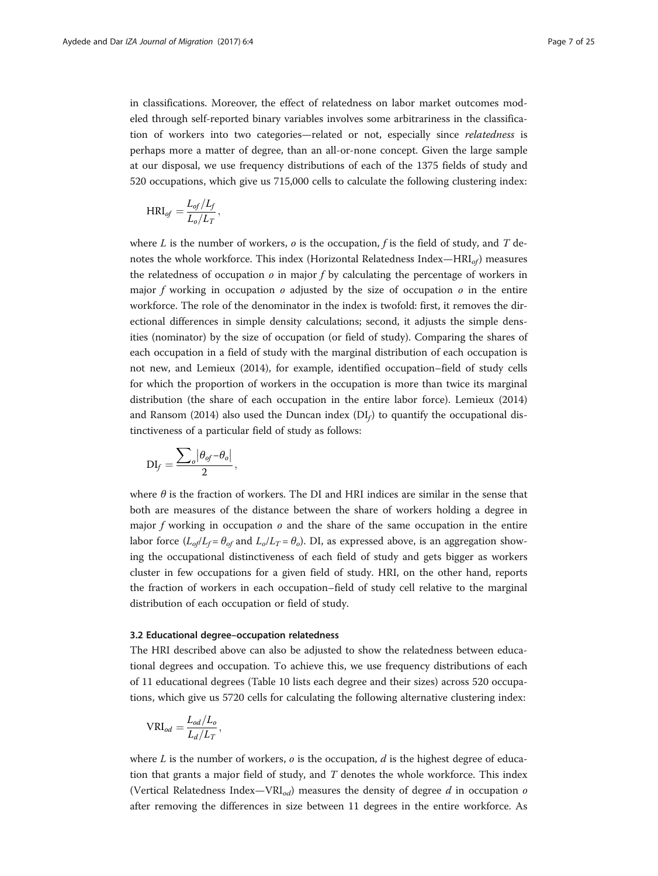in classifications. Moreover, the effect of relatedness on labor market outcomes modeled through self-reported binary variables involves some arbitrariness in the classification of workers into two categories—related or not, especially since relatedness is perhaps more a matter of degree, than an all-or-none concept. Given the large sample at our disposal, we use frequency distributions of each of the 1375 fields of study and 520 occupations, which give us 715,000 cells to calculate the following clustering index:

$$
HRI_{of} = \frac{L_{of}/L_f}{L_o/L_T},
$$

where L is the number of workers,  $o$  is the occupation,  $f$  is the field of study, and  $T$  denotes the whole workforce. This index (Horizontal Relatedness Index—HRI $_{of}$ ) measures the relatedness of occupation  $o$  in major  $f$  by calculating the percentage of workers in major f working in occupation  $o$  adjusted by the size of occupation  $o$  in the entire workforce. The role of the denominator in the index is twofold: first, it removes the directional differences in simple density calculations; second, it adjusts the simple densities (nominator) by the size of occupation (or field of study). Comparing the shares of each occupation in a field of study with the marginal distribution of each occupation is not new, and Lemieux ([2014](#page-23-0)), for example, identified occupation–field of study cells for which the proportion of workers in the occupation is more than twice its marginal distribution (the share of each occupation in the entire labor force). Lemieux ([2014](#page-23-0)) and Ransom [\(2014](#page-24-0)) also used the Duncan index ( $DI_f$ ) to quantify the occupational distinctiveness of a particular field of study as follows:

$$
\mathrm{DI}_{f}=\frac{\sum_{o}\bigl|\theta_{of}-\theta_{o}\bigr|}{2},
$$

where  $\theta$  is the fraction of workers. The DI and HRI indices are similar in the sense that both are measures of the distance between the share of workers holding a degree in major f working in occupation  $\sigma$  and the share of the same occupation in the entire labor force  $(L_{of}/L_f = \theta_{of}$  and  $L_o/L_T = \theta_o$ ). DI, as expressed above, is an aggregation showing the occupational distinctiveness of each field of study and gets bigger as workers cluster in few occupations for a given field of study. HRI, on the other hand, reports the fraction of workers in each occupation–field of study cell relative to the marginal distribution of each occupation or field of study.

#### 3.2 Educational degree–occupation relatedness

The HRI described above can also be adjusted to show the relatedness between educational degrees and occupation. To achieve this, we use frequency distributions of each of 11 educational degrees (Table [10](#page-20-0) lists each degree and their sizes) across 520 occupations, which give us 5720 cells for calculating the following alternative clustering index:

$$
VRI_{od} = \frac{L_{od}/L_o}{L_d/L_T},
$$

where  $L$  is the number of workers,  $o$  is the occupation,  $d$  is the highest degree of education that grants a major field of study, and  $T$  denotes the whole workforce. This index (Vertical Relatedness Index—VRI<sub>od</sub>) measures the density of degree d in occupation o after removing the differences in size between 11 degrees in the entire workforce. As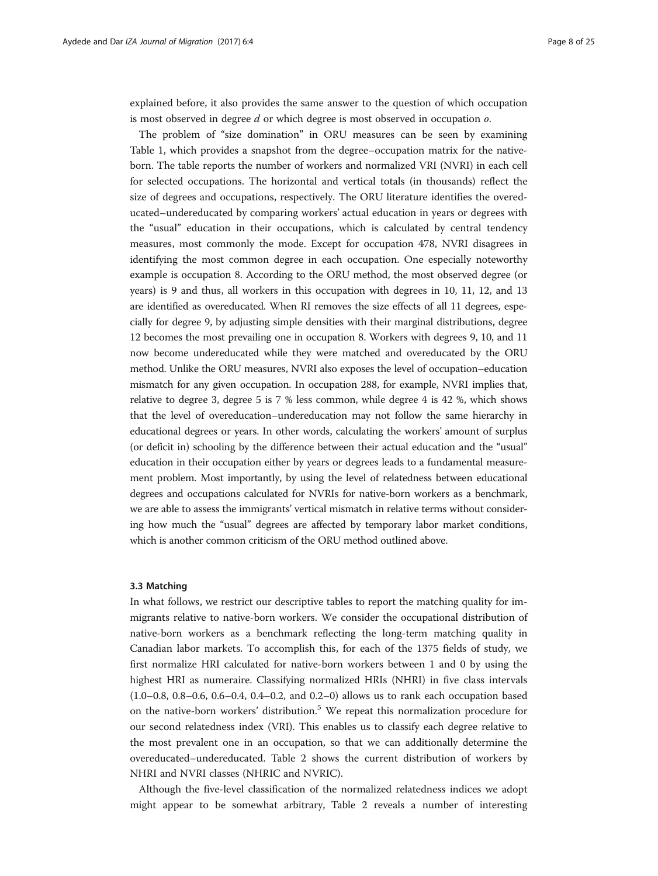explained before, it also provides the same answer to the question of which occupation is most observed in degree  $d$  or which degree is most observed in occupation  $o$ .

The problem of "size domination" in ORU measures can be seen by examining Table [1](#page-8-0), which provides a snapshot from the degree–occupation matrix for the nativeborn. The table reports the number of workers and normalized VRI (NVRI) in each cell for selected occupations. The horizontal and vertical totals (in thousands) reflect the size of degrees and occupations, respectively. The ORU literature identifies the overeducated–undereducated by comparing workers' actual education in years or degrees with the "usual" education in their occupations, which is calculated by central tendency measures, most commonly the mode. Except for occupation 478, NVRI disagrees in identifying the most common degree in each occupation. One especially noteworthy example is occupation 8. According to the ORU method, the most observed degree (or years) is 9 and thus, all workers in this occupation with degrees in 10, 11, 12, and 13 are identified as overeducated. When RI removes the size effects of all 11 degrees, especially for degree 9, by adjusting simple densities with their marginal distributions, degree 12 becomes the most prevailing one in occupation 8. Workers with degrees 9, 10, and 11 now become undereducated while they were matched and overeducated by the ORU method. Unlike the ORU measures, NVRI also exposes the level of occupation–education mismatch for any given occupation. In occupation 288, for example, NVRI implies that, relative to degree 3, degree 5 is 7 % less common, while degree 4 is 42 %, which shows that the level of overeducation–undereducation may not follow the same hierarchy in educational degrees or years. In other words, calculating the workers' amount of surplus (or deficit in) schooling by the difference between their actual education and the "usual" education in their occupation either by years or degrees leads to a fundamental measurement problem. Most importantly, by using the level of relatedness between educational degrees and occupations calculated for NVRIs for native-born workers as a benchmark, we are able to assess the immigrants' vertical mismatch in relative terms without considering how much the "usual" degrees are affected by temporary labor market conditions, which is another common criticism of the ORU method outlined above.

#### 3.3 Matching

In what follows, we restrict our descriptive tables to report the matching quality for immigrants relative to native-born workers. We consider the occupational distribution of native-born workers as a benchmark reflecting the long-term matching quality in Canadian labor markets. To accomplish this, for each of the 1375 fields of study, we first normalize HRI calculated for native-born workers between 1 and 0 by using the highest HRI as numeraire. Classifying normalized HRIs (NHRI) in five class intervals (1.0–0.8, 0.8–0.6, 0.6–0.4, 0.4–0.2, and 0.2–0) allows us to rank each occupation based on the native-born workers' distribution.<sup>5</sup> We repeat this normalization procedure for our second relatedness index (VRI). This enables us to classify each degree relative to the most prevalent one in an occupation, so that we can additionally determine the overeducated–undereducated. Table [2](#page-9-0) shows the current distribution of workers by NHRI and NVRI classes (NHRIC and NVRIC).

Although the five-level classification of the normalized relatedness indices we adopt might appear to be somewhat arbitrary, Table [2](#page-9-0) reveals a number of interesting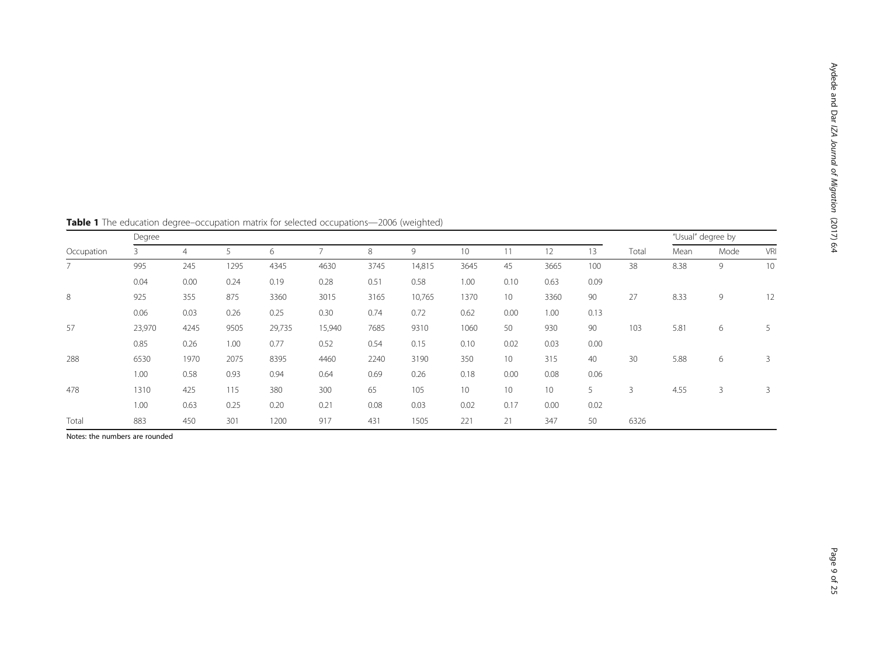|            | Degree |      |      |        |        |      |        |                 |                 |                 |      |       | "Usual" degree by |      |     |
|------------|--------|------|------|--------|--------|------|--------|-----------------|-----------------|-----------------|------|-------|-------------------|------|-----|
| Occupation | 3.     | 4    | 5    | 6      |        | 8    | 9      | 10 <sup>°</sup> |                 | 12              | 13   | Total | Mean              | Mode | VRI |
|            | 995    | 245  | 1295 | 4345   | 4630   | 3745 | 14,815 | 3645            | 45              | 3665            | 100  | 38    | 8.38              | 9    | 10  |
|            | 0.04   | 0.00 | 0.24 | 0.19   | 0.28   | 0.51 | 0.58   | 1.00            | 0.10            | 0.63            | 0.09 |       |                   |      |     |
| 8          | 925    | 355  | 875  | 3360   | 3015   | 3165 | 10,765 | 1370            | 10 <sup>°</sup> | 3360            | 90   | 27    | 8.33              | 9    | 12  |
|            | 0.06   | 0.03 | 0.26 | 0.25   | 0.30   | 0.74 | 0.72   | 0.62            | 0.00            | 1.00            | 0.13 |       |                   |      |     |
| 57         | 23,970 | 4245 | 9505 | 29,735 | 15,940 | 7685 | 9310   | 1060            | 50              | 930             | 90   | 103   | 5.81              | 6    | 5   |
|            | 0.85   | 0.26 | 1.00 | 0.77   | 0.52   | 0.54 | 0.15   | 0.10            | 0.02            | 0.03            | 0.00 |       |                   |      |     |
| 288        | 6530   | 1970 | 2075 | 8395   | 4460   | 2240 | 3190   | 350             | 10 <sup>°</sup> | 315             | 40   | 30    | 5.88              | 6    | 3   |
|            | 1.00   | 0.58 | 0.93 | 0.94   | 0.64   | 0.69 | 0.26   | 0.18            | 0.00            | 0.08            | 0.06 |       |                   |      |     |
| 478        | 1310   | 425  | 115  | 380    | 300    | 65   | 105    | 10 <sup>°</sup> | 10 <sup>°</sup> | 10 <sup>°</sup> | 5    | 3     | 4.55              | 3    | 3   |
|            | 1.00   | 0.63 | 0.25 | 0.20   | 0.21   | 0.08 | 0.03   | 0.02            | 0.17            | 0.00            | 0.02 |       |                   |      |     |
| Total      | 883    | 450  | 301  | 1200   | 917    | 431  | 1505   | 221             | 21              | 347             | 50   | 6326  |                   |      |     |

<span id="page-8-0"></span>Table 1 The education degree–occupation matrix for selected occupations—2006 (weighted)

Notes: the numbers are rounded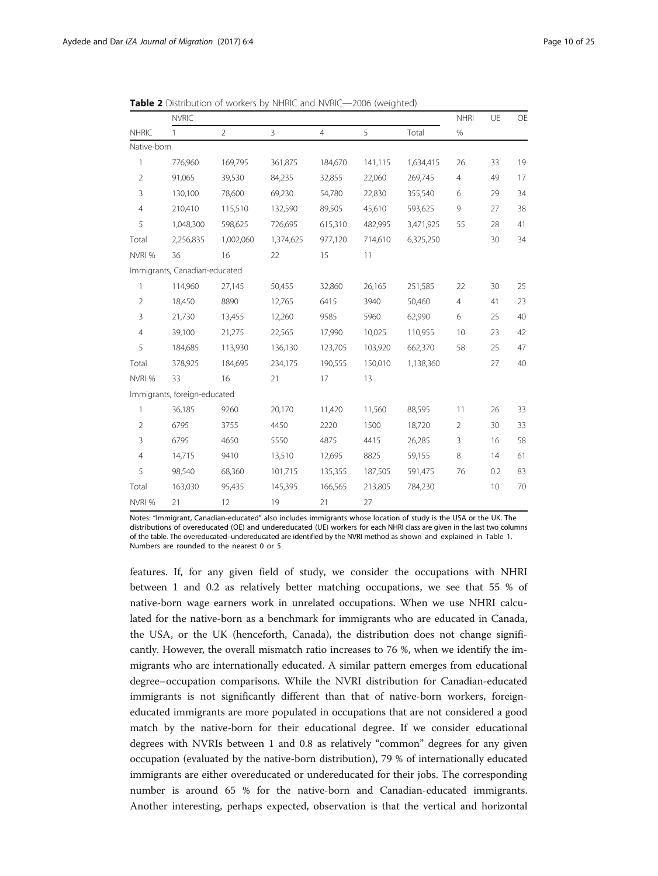|                | <b>NVRIC</b>                  |            |           |                |         |           | <b>NHRI</b>    | UE  | OE |
|----------------|-------------------------------|------------|-----------|----------------|---------|-----------|----------------|-----|----|
| <b>NHRIC</b>   | 1                             | $\sqrt{2}$ | 3         | $\overline{4}$ | 5       | Total     | $\%$           |     |    |
| Native-born    |                               |            |           |                |         |           |                |     |    |
| 1              | 776,960                       | 169,795    | 361,875   | 184,670        | 141,115 | 1,634,415 | 26             | 33  | 19 |
| $\overline{2}$ | 91,065                        | 39,530     | 84,235    | 32,855         | 22,060  | 269,745   | $\overline{4}$ | 49  | 17 |
| 3              | 130,100                       | 78,600     | 69,230    | 54,780         | 22,830  | 355,540   | 6              | 29  | 34 |
| $\overline{4}$ | 210,410                       | 115,510    | 132,590   | 89,505         | 45,610  | 593,625   | 9              | 27  | 38 |
| 5              | 1,048,300                     | 598,625    | 726,695   | 615,310        | 482,995 | 3,471,925 | 55             | 28  | 41 |
| Total          | 2,256,835                     | 1,002,060  | 1,374,625 | 977,120        | 714,610 | 6,325,250 |                | 30  | 34 |
| NVRI %         | 36                            | 16         | 22        | 15             | 11      |           |                |     |    |
|                | Immigrants, Canadian-educated |            |           |                |         |           |                |     |    |
| 1              | 114,960                       | 27,145     | 50,455    | 32,860         | 26,165  | 251,585   | 22             | 30  | 25 |
| $\overline{2}$ | 18,450                        | 8890       | 12,765    | 6415           | 3940    | 50,460    | $\overline{4}$ | 41  | 23 |
| 3              | 21,730                        | 13,455     | 12,260    | 9585           | 5960    | 62,990    | 6              | 25  | 40 |
| $\overline{4}$ | 39,100                        | 21,275     | 22,565    | 17,990         | 10,025  | 110,955   | 10             | 23  | 42 |
| 5              | 184,685                       | 113,930    | 136,130   | 123,705        | 103,920 | 662,370   | 58             | 25  | 47 |
| Total          | 378,925                       | 184,695    | 234,175   | 190,555        | 150,010 | 1,138,360 |                | 27  | 40 |
| NVRI %         | 33                            | 16         | 21        | 17             | 13      |           |                |     |    |
|                | Immigrants, foreign-educated  |            |           |                |         |           |                |     |    |
| 1              | 36,185                        | 9260       | 20,170    | 11,420         | 11,560  | 88,595    | 11             | 26  | 33 |
| $\overline{2}$ | 6795                          | 3755       | 4450      | 2220           | 1500    | 18,720    | $\overline{2}$ | 30  | 33 |
| 3              | 6795                          | 4650       | 5550      | 4875           | 4415    | 26,285    | 3              | 16  | 58 |
| $\overline{4}$ | 14,715                        | 9410       | 13,510    | 12,695         | 8825    | 59,155    | 8              | 14  | 61 |
| 5              | 98,540                        | 68,360     | 101,715   | 135,355        | 187,505 | 591,475   | 76             | 0.2 | 83 |
| Total          | 163,030                       | 95,435     | 145,395   | 166,565        | 213,805 | 784,230   |                | 10  | 70 |
| NVRI %         | 21                            | 12         | 19        | 21             | 27      |           |                |     |    |

<span id="page-9-0"></span>Table 2 Distribution of workers by NHRIC and NVRIC—2006 (weighted)

Notes: "Immigrant, Canadian-educated" also includes immigrants whose location of study is the USA or the UK. The distributions of overeducated (OE) and undereducated (UE) workers for each NHRI class are given in the last two columns of the table. The overeducated–undereducated are identified by the NVRI method as shown and explained in Table [1.](#page-8-0) Numbers are rounded to the nearest 0 or 5

features. If, for any given field of study, we consider the occupations with NHRI between 1 and 0.2 as relatively better matching occupations, we see that 55 % of native-born wage earners work in unrelated occupations. When we use NHRI calculated for the native-born as a benchmark for immigrants who are educated in Canada, the USA, or the UK (henceforth, Canada), the distribution does not change significantly. However, the overall mismatch ratio increases to 76 %, when we identify the immigrants who are internationally educated. A similar pattern emerges from educational degree–occupation comparisons. While the NVRI distribution for Canadian-educated immigrants is not significantly different than that of native-born workers, foreigneducated immigrants are more populated in occupations that are not considered a good match by the native-born for their educational degree. If we consider educational degrees with NVRIs between 1 and 0.8 as relatively "common" degrees for any given occupation (evaluated by the native-born distribution), 79 % of internationally educated immigrants are either overeducated or undereducated for their jobs. The corresponding number is around 65 % for the native-born and Canadian-educated immigrants. Another interesting, perhaps expected, observation is that the vertical and horizontal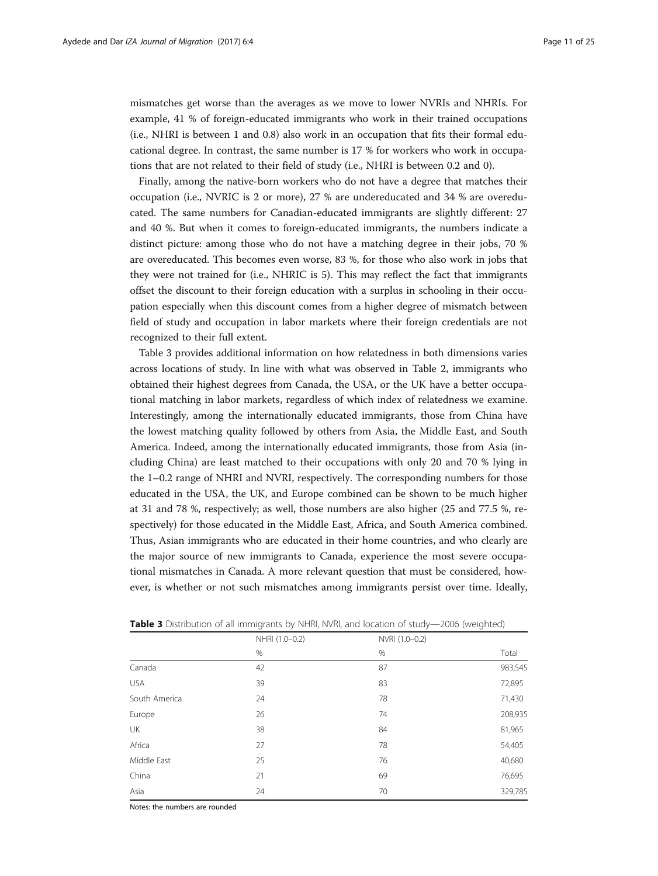mismatches get worse than the averages as we move to lower NVRIs and NHRIs. For example, 41 % of foreign-educated immigrants who work in their trained occupations (i.e., NHRI is between 1 and 0.8) also work in an occupation that fits their formal educational degree. In contrast, the same number is 17 % for workers who work in occupations that are not related to their field of study (i.e., NHRI is between 0.2 and 0).

Finally, among the native-born workers who do not have a degree that matches their occupation (i.e., NVRIC is 2 or more), 27 % are undereducated and 34 % are overeducated. The same numbers for Canadian-educated immigrants are slightly different: 27 and 40 %. But when it comes to foreign-educated immigrants, the numbers indicate a distinct picture: among those who do not have a matching degree in their jobs, 70 % are overeducated. This becomes even worse, 83 %, for those who also work in jobs that they were not trained for (i.e., NHRIC is 5). This may reflect the fact that immigrants offset the discount to their foreign education with a surplus in schooling in their occupation especially when this discount comes from a higher degree of mismatch between field of study and occupation in labor markets where their foreign credentials are not recognized to their full extent.

Table 3 provides additional information on how relatedness in both dimensions varies across locations of study. In line with what was observed in Table [2,](#page-9-0) immigrants who obtained their highest degrees from Canada, the USA, or the UK have a better occupational matching in labor markets, regardless of which index of relatedness we examine. Interestingly, among the internationally educated immigrants, those from China have the lowest matching quality followed by others from Asia, the Middle East, and South America. Indeed, among the internationally educated immigrants, those from Asia (including China) are least matched to their occupations with only 20 and 70 % lying in the 1–0.2 range of NHRI and NVRI, respectively. The corresponding numbers for those educated in the USA, the UK, and Europe combined can be shown to be much higher at 31 and 78 %, respectively; as well, those numbers are also higher (25 and 77.5 %, respectively) for those educated in the Middle East, Africa, and South America combined. Thus, Asian immigrants who are educated in their home countries, and who clearly are the major source of new immigrants to Canada, experience the most severe occupational mismatches in Canada. A more relevant question that must be considered, however, is whether or not such mismatches among immigrants persist over time. Ideally,

|               | NHRI (1.0-0.2) | NVRI (1.0-0.2) |         |
|---------------|----------------|----------------|---------|
|               | %              | %              | Total   |
| Canada        | 42             | 87             | 983,545 |
| <b>USA</b>    | 39             | 83             | 72,895  |
| South America | 24             | 78             | 71,430  |
| Europe        | 26             | 74             | 208,935 |
| UK            | 38             | 84             | 81,965  |
| Africa        | 27             | 78             | 54,405  |
| Middle East   | 25             | 76             | 40,680  |
| China         | 21             | 69             | 76,695  |
| Asia          | 24             | 70             | 329,785 |

Table 3 Distribution of all immigrants by NHRI, NVRI, and location of study—2006 (weighted)

Notes: the numbers are rounded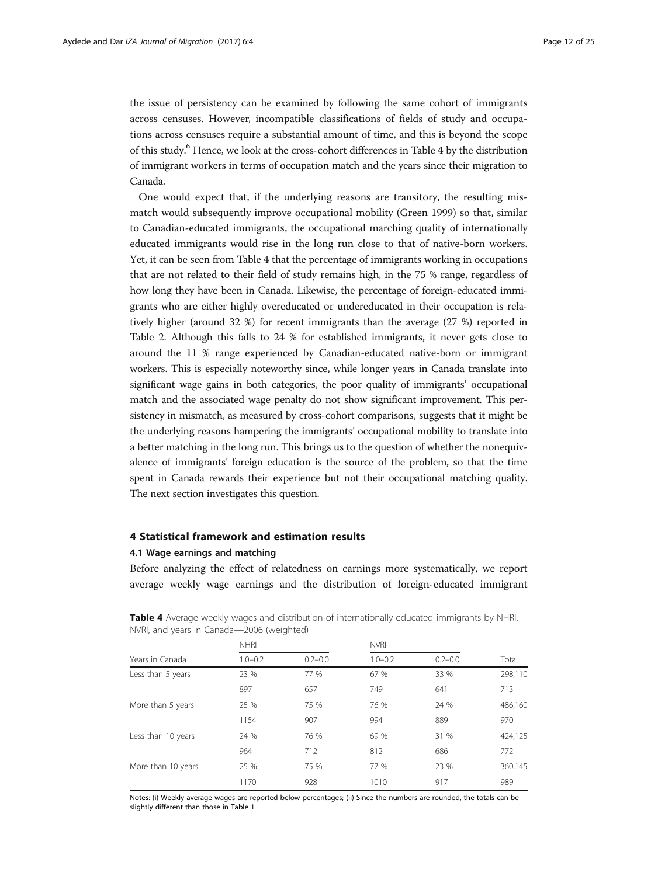<span id="page-11-0"></span>the issue of persistency can be examined by following the same cohort of immigrants across censuses. However, incompatible classifications of fields of study and occupations across censuses require a substantial amount of time, and this is beyond the scope of this study.<sup>6</sup> Hence, we look at the cross-cohort differences in Table 4 by the distribution of immigrant workers in terms of occupation match and the years since their migration to Canada.

One would expect that, if the underlying reasons are transitory, the resulting mismatch would subsequently improve occupational mobility (Green [1999](#page-23-0)) so that, similar to Canadian-educated immigrants, the occupational marching quality of internationally educated immigrants would rise in the long run close to that of native-born workers. Yet, it can be seen from Table 4 that the percentage of immigrants working in occupations that are not related to their field of study remains high, in the 75 % range, regardless of how long they have been in Canada. Likewise, the percentage of foreign-educated immigrants who are either highly overeducated or undereducated in their occupation is relatively higher (around 32 %) for recent immigrants than the average (27 %) reported in Table [2](#page-9-0). Although this falls to 24 % for established immigrants, it never gets close to around the 11 % range experienced by Canadian-educated native-born or immigrant workers. This is especially noteworthy since, while longer years in Canada translate into significant wage gains in both categories, the poor quality of immigrants' occupational match and the associated wage penalty do not show significant improvement. This persistency in mismatch, as measured by cross-cohort comparisons, suggests that it might be the underlying reasons hampering the immigrants' occupational mobility to translate into a better matching in the long run. This brings us to the question of whether the nonequivalence of immigrants' foreign education is the source of the problem, so that the time spent in Canada rewards their experience but not their occupational matching quality. The next section investigates this question.

## 4 Statistical framework and estimation results

### 4.1 Wage earnings and matching

Before analyzing the effect of relatedness on earnings more systematically, we report average weekly wage earnings and the distribution of foreign-educated immigrant

| Table 4 Average weekly wages and distribution of internationally educated immigrants by NHRI, |  |  |
|-----------------------------------------------------------------------------------------------|--|--|
| NVRI, and years in Canada—2006 (weighted)                                                     |  |  |

|                    | <b>NHRI</b> |             | <b>NVRI</b> |             |         |  |
|--------------------|-------------|-------------|-------------|-------------|---------|--|
| Years in Canada    | $1.0 - 0.2$ | $0.2 - 0.0$ | $1.0 - 0.2$ | $0.2 - 0.0$ | Total   |  |
| Less than 5 years  | 23 %        | 77 %        | 67 %        | 33 %        | 298,110 |  |
|                    | 897         | 657         | 749         | 641         | 713     |  |
| More than 5 years  | 25 %        | 75 %        | 76 %        | 24 %        | 486,160 |  |
|                    | 1154        | 907         | 994         | 889         | 970     |  |
| Less than 10 years | 24 %        | 76 %        | 69 %        | 31 %        | 424,125 |  |
|                    | 964         | 712         | 812         | 686         | 772     |  |
| More than 10 years | 25 %        | 75 %        | 77 %        | 23 %        | 360,145 |  |
|                    | 1170        | 928         | 1010        | 917         | 989     |  |

Notes: (i) Weekly average wages are reported below percentages; (ii) Since the numbers are rounded, the totals can be slightly different than those in Table [1](#page-8-0)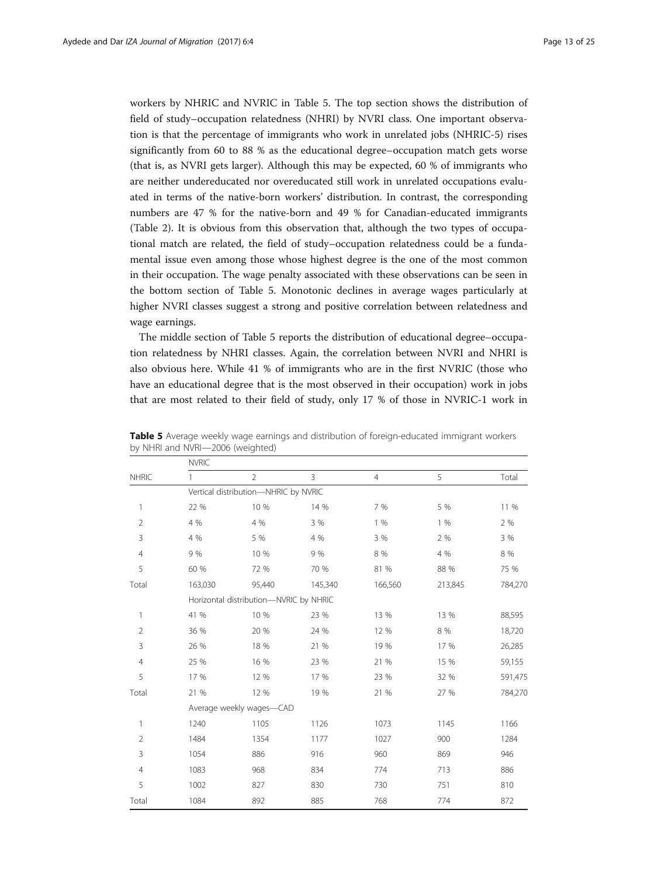workers by NHRIC and NVRIC in Table 5. The top section shows the distribution of field of study–occupation relatedness (NHRI) by NVRI class. One important observation is that the percentage of immigrants who work in unrelated jobs (NHRIC-5) rises significantly from 60 to 88 % as the educational degree–occupation match gets worse (that is, as NVRI gets larger). Although this may be expected, 60 % of immigrants who are neither undereducated nor overeducated still work in unrelated occupations evaluated in terms of the native-born workers' distribution. In contrast, the corresponding numbers are 47 % for the native-born and 49 % for Canadian-educated immigrants (Table [2\)](#page-9-0). It is obvious from this observation that, although the two types of occupational match are related, the field of study–occupation relatedness could be a fundamental issue even among those whose highest degree is the one of the most common in their occupation. The wage penalty associated with these observations can be seen in the bottom section of Table 5. Monotonic declines in average wages particularly at higher NVRI classes suggest a strong and positive correlation between relatedness and wage earnings.

The middle section of Table 5 reports the distribution of educational degree–occupation relatedness by NHRI classes. Again, the correlation between NVRI and NHRI is also obvious here. While 41 % of immigrants who are in the first NVRIC (those who have an educational degree that is the most observed in their occupation) work in jobs that are most related to their field of study, only 17 % of those in NVRIC-1 work in

|                | <b>NVRIC</b>                           |                                      |                |                |         |         |  |  |  |
|----------------|----------------------------------------|--------------------------------------|----------------|----------------|---------|---------|--|--|--|
| <b>NHRIC</b>   | 1                                      | $\overline{2}$                       | $\overline{3}$ | $\overline{4}$ | 5       | Total   |  |  |  |
|                |                                        | Vertical distribution-NHRIC by NVRIC |                |                |         |         |  |  |  |
| 1              | 22 %                                   | 10 %                                 | 14 %           | 7 %            | 5 %     | 11 %    |  |  |  |
| $\overline{2}$ | 4 %                                    | 4 %                                  | 3 %            | 1%             | 1%      | 2 %     |  |  |  |
| 3              | 4 %                                    | 5 %                                  | 4 %            | 3 %            | 2 %     | 3 %     |  |  |  |
| $\overline{4}$ | 9 %                                    | 10 %                                 | 9 %            | 8 %            | 4 %     | 8 %     |  |  |  |
| 5              | 60 %                                   | 72 %                                 | 70 %           | 81 %           | 88 %    | 75 %    |  |  |  |
| Total          | 163,030                                | 95,440                               | 145,340        | 166,560        | 213,845 | 784,270 |  |  |  |
|                | Horizontal distribution-NVRIC by NHRIC |                                      |                |                |         |         |  |  |  |
| $\mathbf{1}$   | 41 %                                   | 10 %                                 | 23 %           | 13 %           | 13 %    | 88,595  |  |  |  |
| $\overline{2}$ | 36 %                                   | 20 %                                 | 24 %           | 12 %           | 8 %     | 18,720  |  |  |  |
| 3              | 26 %                                   | 18 %                                 | 21 %           | 19 %           | 17 %    | 26,285  |  |  |  |
| $\overline{4}$ | 25 %                                   | 16 %                                 | 23 %           | 21 %           | 15 %    | 59,155  |  |  |  |
| 5              | 17 %                                   | 12 %                                 | 17 %           | 23 %           | 32 %    | 591,475 |  |  |  |
| Total          | 21 %                                   | 12 %                                 | 19 %           | 21 %           | 27 %    | 784,270 |  |  |  |
|                |                                        | Average weekly wages-CAD             |                |                |         |         |  |  |  |
| $\mathbf{1}$   | 1240                                   | 1105                                 | 1126           | 1073           | 1145    | 1166    |  |  |  |
| $\overline{2}$ | 1484                                   | 1354                                 | 1177           | 1027           | 900     | 1284    |  |  |  |
| 3              | 1054                                   | 886                                  | 916            | 960            | 869     | 946     |  |  |  |
| $\overline{4}$ | 1083                                   | 968                                  | 834            | 774            | 713     | 886     |  |  |  |
| 5              | 1002                                   | 827                                  | 830            | 730            | 751     | 810     |  |  |  |
| Total          | 1084                                   | 892                                  | 885            | 768            | 774     | 872     |  |  |  |

Table 5 Average weekly wage earnings and distribution of foreign-educated immigrant workers by NHRI and NVRI—2006 (weighted)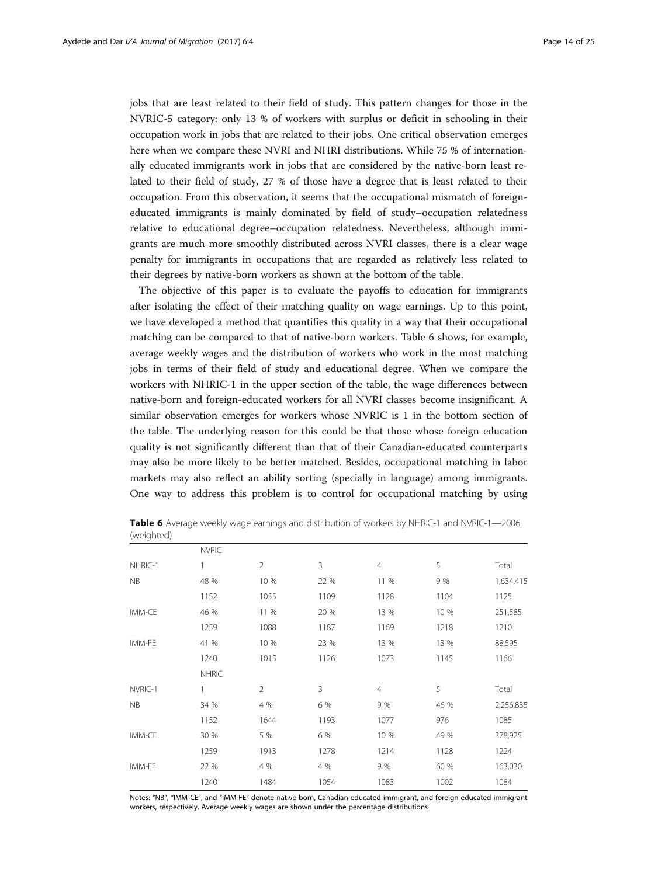jobs that are least related to their field of study. This pattern changes for those in the NVRIC-5 category: only 13 % of workers with surplus or deficit in schooling in their occupation work in jobs that are related to their jobs. One critical observation emerges here when we compare these NVRI and NHRI distributions. While 75 % of internationally educated immigrants work in jobs that are considered by the native-born least related to their field of study, 27 % of those have a degree that is least related to their occupation. From this observation, it seems that the occupational mismatch of foreigneducated immigrants is mainly dominated by field of study–occupation relatedness relative to educational degree–occupation relatedness. Nevertheless, although immigrants are much more smoothly distributed across NVRI classes, there is a clear wage penalty for immigrants in occupations that are regarded as relatively less related to their degrees by native-born workers as shown at the bottom of the table.

The objective of this paper is to evaluate the payoffs to education for immigrants after isolating the effect of their matching quality on wage earnings. Up to this point, we have developed a method that quantifies this quality in a way that their occupational matching can be compared to that of native-born workers. Table 6 shows, for example, average weekly wages and the distribution of workers who work in the most matching jobs in terms of their field of study and educational degree. When we compare the workers with NHRIC-1 in the upper section of the table, the wage differences between native-born and foreign-educated workers for all NVRI classes become insignificant. A similar observation emerges for workers whose NVRIC is 1 in the bottom section of the table. The underlying reason for this could be that those whose foreign education quality is not significantly different than that of their Canadian-educated counterparts may also be more likely to be better matched. Besides, occupational matching in labor markets may also reflect an ability sorting (specially in language) among immigrants. One way to address this problem is to control for occupational matching by using

| <i>(vvcigrica)</i> |              |                |      |                |      |           |
|--------------------|--------------|----------------|------|----------------|------|-----------|
|                    | <b>NVRIC</b> |                |      |                |      |           |
| NHRIC-1            | 1            | $\overline{2}$ | 3    | $\overline{4}$ | 5    | Total     |
| NB                 | 48 %         | 10 %           | 22 % | 11 %           | 9 %  | 1,634,415 |
|                    | 1152         | 1055           | 1109 | 1128           | 1104 | 1125      |
| IMM-CE             | 46 %         | 11 %           | 20 % | 13 %           | 10 % | 251,585   |
|                    | 1259         | 1088           | 1187 | 1169           | 1218 | 1210      |
| IMM-FE             | 41 %         | 10 %           | 23 % | 13 %           | 13 % | 88,595    |
|                    | 1240         | 1015           | 1126 | 1073           | 1145 | 1166      |
|                    | <b>NHRIC</b> |                |      |                |      |           |
| NVRIC-1            | 1            | $\overline{2}$ | 3    | 4              | 5    | Total     |
| <b>NB</b>          | 34 %         | 4 %            | 6 %  | 9 %            | 46 % | 2,256,835 |
|                    | 1152         | 1644           | 1193 | 1077           | 976  | 1085      |
| IMM-CE             | 30 %         | 5 %            | 6 %  | 10 %           | 49 % | 378,925   |
|                    | 1259         | 1913           | 1278 | 1214           | 1128 | 1224      |
| IMM-FE             | 22 %         | 4 %            | 4 %  | 9 %            | 60 % | 163,030   |
|                    | 1240         | 1484           | 1054 | 1083           | 1002 | 1084      |

**Table 6** Average weekly wage earnings and distribution of workers by NHRIC-1 and NVRIC-1—2006  $(hair + hbar)$ 

Notes: "NB", "IMM-CE", and "IMM-FE" denote native-born, Canadian-educated immigrant, and foreign-educated immigrant workers, respectively. Average weekly wages are shown under the percentage distributions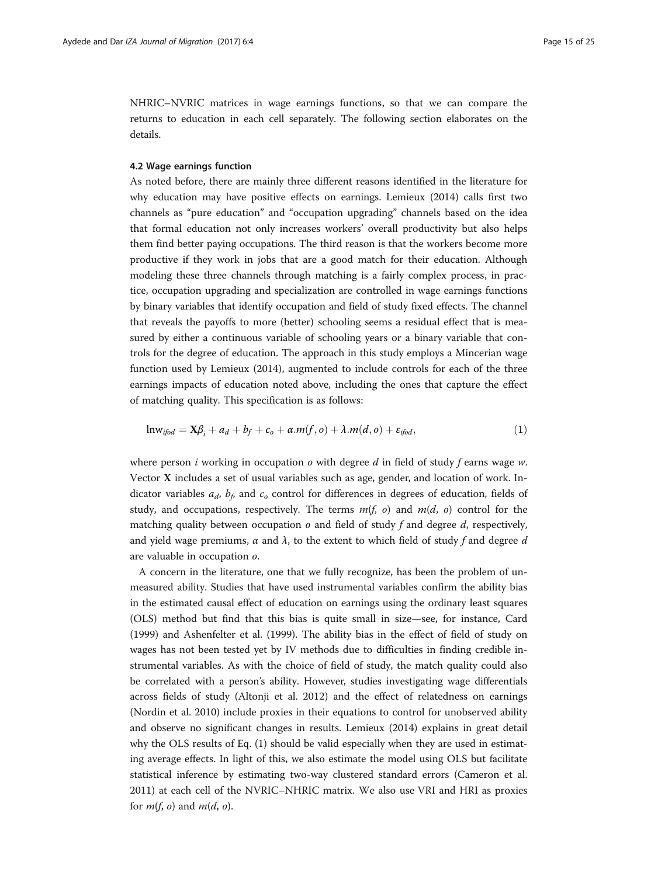NHRIC–NVRIC matrices in wage earnings functions, so that we can compare the returns to education in each cell separately. The following section elaborates on the details.

## 4.2 Wage earnings function

As noted before, there are mainly three different reasons identified in the literature for why education may have positive effects on earnings. Lemieux ([2014](#page-23-0)) calls first two channels as "pure education" and "occupation upgrading" channels based on the idea that formal education not only increases workers' overall productivity but also helps them find better paying occupations. The third reason is that the workers become more productive if they work in jobs that are a good match for their education. Although modeling these three channels through matching is a fairly complex process, in practice, occupation upgrading and specialization are controlled in wage earnings functions by binary variables that identify occupation and field of study fixed effects. The channel that reveals the payoffs to more (better) schooling seems a residual effect that is measured by either a continuous variable of schooling years or a binary variable that controls for the degree of education. The approach in this study employs a Mincerian wage function used by Lemieux [\(2014](#page-23-0)), augmented to include controls for each of the three earnings impacts of education noted above, including the ones that capture the effect of matching quality. This specification is as follows:

$$
\ln w_{ijod} = \mathbf{X}\beta_i + a_d + b_f + c_o + \alpha.m(f, o) + \lambda.m(d, o) + \varepsilon_{ijod},\tag{1}
$$

where person *i* working in occupation  $o$  with degree  $d$  in field of study f earns wage  $w$ . Vector X includes a set of usual variables such as age, gender, and location of work. Indicator variables  $a_d$ ,  $b_b$  and  $c_o$  control for differences in degrees of education, fields of study, and occupations, respectively. The terms  $m(f, o)$  and  $m(d, o)$  control for the matching quality between occupation  $\rho$  and field of study f and degree d, respectively, and yield wage premiums,  $\alpha$  and  $\lambda$ , to the extent to which field of study f and degree d are valuable in occupation o.

A concern in the literature, one that we fully recognize, has been the problem of unmeasured ability. Studies that have used instrumental variables confirm the ability bias in the estimated causal effect of education on earnings using the ordinary least squares (OLS) method but find that this bias is quite small in size—see, for instance, Card ([1999](#page-23-0)) and Ashenfelter et al. ([1999](#page-23-0)). The ability bias in the effect of field of study on wages has not been tested yet by IV methods due to difficulties in finding credible instrumental variables. As with the choice of field of study, the match quality could also be correlated with a person's ability. However, studies investigating wage differentials across fields of study (Altonji et al. [2012](#page-23-0)) and the effect of relatedness on earnings (Nordin et al. [2010\)](#page-23-0) include proxies in their equations to control for unobserved ability and observe no significant changes in results. Lemieux [\(2014](#page-23-0)) explains in great detail why the OLS results of Eq. (1) should be valid especially when they are used in estimating average effects. In light of this, we also estimate the model using OLS but facilitate statistical inference by estimating two-way clustered standard errors (Cameron et al. [2011](#page-23-0)) at each cell of the NVRIC–NHRIC matrix. We also use VRI and HRI as proxies for  $m(f, o)$  and  $m(d, o)$ .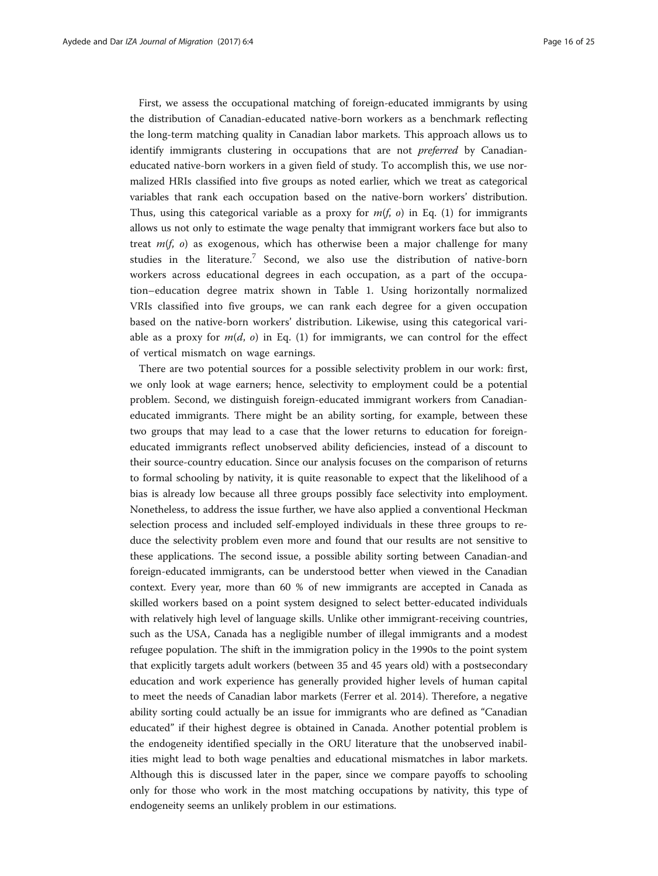First, we assess the occupational matching of foreign-educated immigrants by using the distribution of Canadian-educated native-born workers as a benchmark reflecting the long-term matching quality in Canadian labor markets. This approach allows us to identify immigrants clustering in occupations that are not *preferred* by Canadianeducated native-born workers in a given field of study. To accomplish this, we use normalized HRIs classified into five groups as noted earlier, which we treat as categorical variables that rank each occupation based on the native-born workers' distribution. Thus, using this categorical variable as a proxy for  $m(f, o)$  in Eq. (1) for immigrants allows us not only to estimate the wage penalty that immigrant workers face but also to treat  $m(f, o)$  as exogenous, which has otherwise been a major challenge for many studies in the literature.<sup>7</sup> Second, we also use the distribution of native-born workers across educational degrees in each occupation, as a part of the occupation–education degree matrix shown in Table [1](#page-8-0). Using horizontally normalized VRIs classified into five groups, we can rank each degree for a given occupation based on the native-born workers' distribution. Likewise, using this categorical variable as a proxy for  $m(d, o)$  in Eq. (1) for immigrants, we can control for the effect of vertical mismatch on wage earnings.

There are two potential sources for a possible selectivity problem in our work: first, we only look at wage earners; hence, selectivity to employment could be a potential problem. Second, we distinguish foreign-educated immigrant workers from Canadianeducated immigrants. There might be an ability sorting, for example, between these two groups that may lead to a case that the lower returns to education for foreigneducated immigrants reflect unobserved ability deficiencies, instead of a discount to their source-country education. Since our analysis focuses on the comparison of returns to formal schooling by nativity, it is quite reasonable to expect that the likelihood of a bias is already low because all three groups possibly face selectivity into employment. Nonetheless, to address the issue further, we have also applied a conventional Heckman selection process and included self-employed individuals in these three groups to reduce the selectivity problem even more and found that our results are not sensitive to these applications. The second issue, a possible ability sorting between Canadian-and foreign-educated immigrants, can be understood better when viewed in the Canadian context. Every year, more than 60 % of new immigrants are accepted in Canada as skilled workers based on a point system designed to select better-educated individuals with relatively high level of language skills. Unlike other immigrant-receiving countries, such as the USA, Canada has a negligible number of illegal immigrants and a modest refugee population. The shift in the immigration policy in the 1990s to the point system that explicitly targets adult workers (between 35 and 45 years old) with a postsecondary education and work experience has generally provided higher levels of human capital to meet the needs of Canadian labor markets (Ferrer et al. [2014](#page-23-0)). Therefore, a negative ability sorting could actually be an issue for immigrants who are defined as "Canadian educated" if their highest degree is obtained in Canada. Another potential problem is the endogeneity identified specially in the ORU literature that the unobserved inabilities might lead to both wage penalties and educational mismatches in labor markets. Although this is discussed later in the paper, since we compare payoffs to schooling only for those who work in the most matching occupations by nativity, this type of endogeneity seems an unlikely problem in our estimations.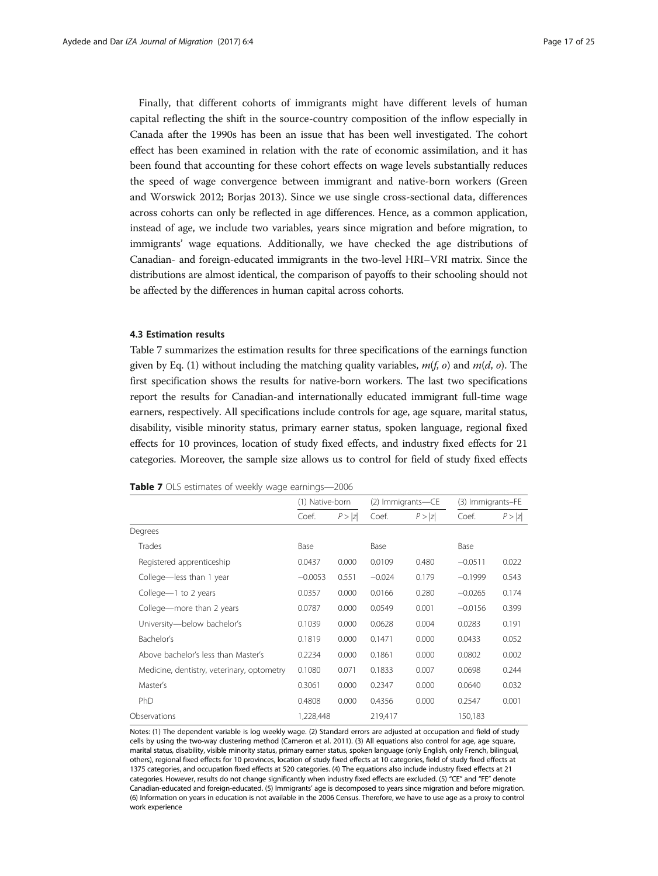<span id="page-16-0"></span>Finally, that different cohorts of immigrants might have different levels of human capital reflecting the shift in the source-country composition of the inflow especially in Canada after the 1990s has been an issue that has been well investigated. The cohort effect has been examined in relation with the rate of economic assimilation, and it has been found that accounting for these cohort effects on wage levels substantially reduces the speed of wage convergence between immigrant and native-born workers (Green and Worswick [2012](#page-23-0); Borjas [2013](#page-23-0)). Since we use single cross-sectional data, differences across cohorts can only be reflected in age differences. Hence, as a common application, instead of age, we include two variables, years since migration and before migration, to immigrants' wage equations. Additionally, we have checked the age distributions of Canadian- and foreign-educated immigrants in the two-level HRI–VRI matrix. Since the distributions are almost identical, the comparison of payoffs to their schooling should not be affected by the differences in human capital across cohorts.

## 4.3 Estimation results

Table 7 summarizes the estimation results for three specifications of the earnings function given by Eq. (1) without including the matching quality variables,  $m(f, o)$  and  $m(d, o)$ . The first specification shows the results for native-born workers. The last two specifications report the results for Canadian-and internationally educated immigrant full-time wage earners, respectively. All specifications include controls for age, age square, marital status, disability, visible minority status, primary earner status, spoken language, regional fixed effects for 10 provinces, location of study fixed effects, and industry fixed effects for 21 categories. Moreover, the sample size allows us to control for field of study fixed effects

| Table 7 OLS estimates of weekly wage earnings-2006 |  |
|----------------------------------------------------|--|
|----------------------------------------------------|--|

|                                            | (1) Native-born |        | (2) Immigrants-CE |        | (3) Immigrants-FE |        |
|--------------------------------------------|-----------------|--------|-------------------|--------|-------------------|--------|
|                                            | Coef.           | P >  Z | Coef.             | P >  z | Coef.             | P >  Z |
| Degrees                                    |                 |        |                   |        |                   |        |
| Trades                                     | Base            |        | Base              |        | Base              |        |
| Registered apprenticeship                  | 0.0437          | 0.000  | 0.0109            | 0.480  | $-0.0511$         | 0.022  |
| College-less than 1 year                   | $-0.0053$       | 0.551  | $-0.024$          | 0.179  | $-0.1999$         | 0.543  |
| College $-1$ to 2 years                    | 0.0357          | 0.000  | 0.0166            | 0.280  | $-0.0265$         | 0.174  |
| College-more than 2 years                  | 0.0787          | 0.000  | 0.0549            | 0.001  | $-0.0156$         | 0.399  |
| University-below bachelor's                | 0.1039          | 0.000  | 0.0628            | 0.004  | 0.0283            | 0.191  |
| Bachelor's                                 | 0.1819          | 0.000  | 0.1471            | 0.000  | 0.0433            | 0.052  |
| Above bachelor's less than Master's        | 0.2234          | 0.000  | 0.1861            | 0.000  | 0.0802            | 0.002  |
| Medicine, dentistry, veterinary, optometry | 0.1080          | 0.071  | 0.1833            | 0.007  | 0.0698            | 0.244  |
| Master's                                   | 0.3061          | 0.000  | 0.2347            | 0.000  | 0.0640            | 0.032  |
| PhD                                        | 0.4808          | 0.000  | 0.4356            | 0.000  | 0.2547            | 0.001  |
| Observations                               | 1,228,448       |        | 219,417           |        | 150,183           |        |

Notes: (1) The dependent variable is log weekly wage. (2) Standard errors are adjusted at occupation and field of study cells by using the two-way clustering method (Cameron et al. [2011](#page-23-0)). (3) All equations also control for age, age square, marital status, disability, visible minority status, primary earner status, spoken language (only English, only French, bilingual, others), regional fixed effects for 10 provinces, location of study fixed effects at 10 categories, field of study fixed effects at 1375 categories, and occupation fixed effects at 520 categories. (4) The equations also include industry fixed effects at 21 categories. However, results do not change significantly when industry fixed effects are excluded. (5) "CE" and "FE" denote Canadian-educated and foreign-educated. (5) Immigrants' age is decomposed to years since migration and before migration. (6) Information on years in education is not available in the 2006 Census. Therefore, we have to use age as a proxy to control work experience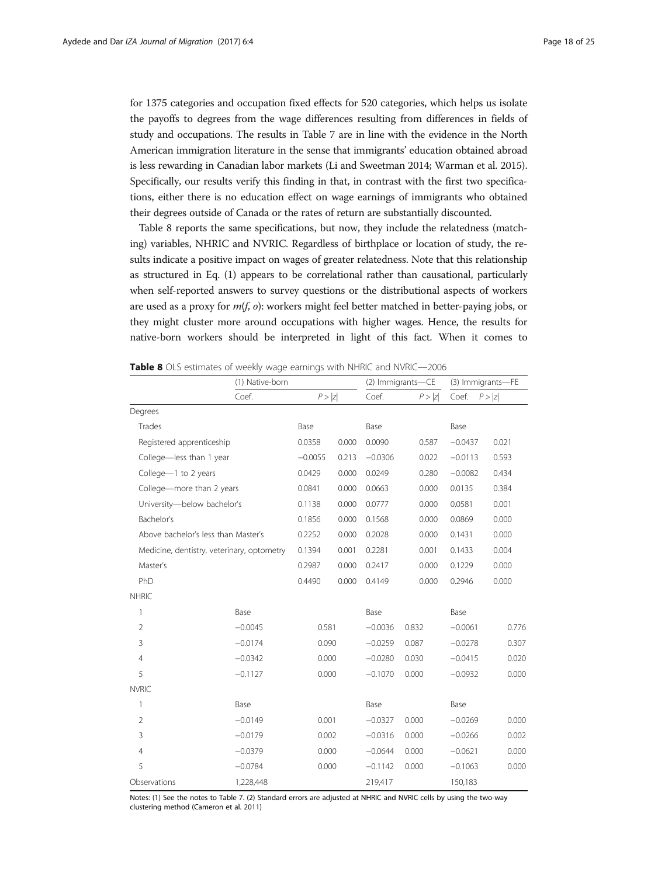<span id="page-17-0"></span>for 1375 categories and occupation fixed effects for 520 categories, which helps us isolate the payoffs to degrees from the wage differences resulting from differences in fields of study and occupations. The results in Table [7](#page-16-0) are in line with the evidence in the North American immigration literature in the sense that immigrants' education obtained abroad is less rewarding in Canadian labor markets (Li and Sweetman [2014;](#page-23-0) Warman et al. [2015](#page-24-0)). Specifically, our results verify this finding in that, in contrast with the first two specifications, either there is no education effect on wage earnings of immigrants who obtained their degrees outside of Canada or the rates of return are substantially discounted.

Table 8 reports the same specifications, but now, they include the relatedness (matching) variables, NHRIC and NVRIC. Regardless of birthplace or location of study, the results indicate a positive impact on wages of greater relatedness. Note that this relationship as structured in Eq. (1) appears to be correlational rather than causational, particularly when self-reported answers to survey questions or the distributional aspects of workers are used as a proxy for  $m(f, o)$ : workers might feel better matched in better-paying jobs, or they might cluster more around occupations with higher wages. Hence, the results for native-born workers should be interpreted in light of this fact. When it comes to

Table 8 OLS estimates of weekly wage earnings with NHRIC and NVRIC-2006

|                                            | (1) Native-born |           |       |           | (2) Immigrants-CE | (3) Immigrants-FE |        |
|--------------------------------------------|-----------------|-----------|-------|-----------|-------------------|-------------------|--------|
|                                            | Coef.           | P >  Z    |       | Coef.     | P >  Z            | Coef.             | P >  Z |
| Degrees                                    |                 |           |       |           |                   |                   |        |
| Trades                                     |                 | Base      |       | Base      |                   | Base              |        |
| Registered apprenticeship                  |                 | 0.0358    | 0.000 | 0.0090    | 0.587             | $-0.0437$         | 0.021  |
| College-less than 1 year                   |                 | $-0.0055$ | 0.213 | $-0.0306$ | 0.022             | $-0.0113$         | 0.593  |
| College-1 to 2 years                       |                 | 0.0429    | 0.000 | 0.0249    | 0.280             | $-0.0082$         | 0.434  |
| College-more than 2 years                  |                 | 0.0841    | 0.000 | 0.0663    | 0.000             | 0.0135            | 0.384  |
| University-below bachelor's                |                 | 0.1138    | 0.000 | 0.0777    | 0.000             | 0.0581            | 0.001  |
| Bachelor's                                 |                 | 0.1856    | 0.000 | 0.1568    | 0.000             | 0.0869            | 0.000  |
| Above bachelor's less than Master's        |                 | 0.2252    | 0.000 | 0.2028    | 0.000             | 0.1431            | 0.000  |
| Medicine, dentistry, veterinary, optometry |                 | 0.1394    | 0.001 | 0.2281    | 0.001             | 0.1433            | 0.004  |
| Master's                                   |                 | 0.2987    | 0.000 | 0.2417    | 0.000             | 0.1229            | 0.000  |
| PhD                                        |                 | 0.4490    | 0.000 | 0.4149    | 0.000             | 0.2946            | 0.000  |
| <b>NHRIC</b>                               |                 |           |       |           |                   |                   |        |
| 1                                          | Base            |           |       | Base      |                   | Base              |        |
| $\overline{2}$                             | $-0.0045$       | 0.581     |       | $-0.0036$ | 0.832             | $-0.0061$         | 0.776  |
| 3                                          | $-0.0174$       | 0.090     |       | $-0.0259$ | 0.087             | $-0.0278$         | 0.307  |
| $\overline{4}$                             | $-0.0342$       | 0.000     |       | $-0.0280$ | 0.030             | $-0.0415$         | 0.020  |
| 5                                          | $-0.1127$       | 0.000     |       | $-0.1070$ | 0.000             | $-0.0932$         | 0.000  |
| <b>NVRIC</b>                               |                 |           |       |           |                   |                   |        |
| 1                                          | Base            |           |       | Base      |                   | Base              |        |
| $\overline{2}$                             | $-0.0149$       | 0.001     |       | $-0.0327$ | 0.000             | $-0.0269$         | 0.000  |
| 3                                          | $-0.0179$       | 0.002     |       | $-0.0316$ | 0.000             | $-0.0266$         | 0.002  |
| 4                                          | $-0.0379$       | 0.000     |       | $-0.0644$ | 0.000             | $-0.0621$         | 0.000  |
| 5                                          | $-0.0784$       | 0.000     |       | $-0.1142$ | 0.000             | $-0.1063$         | 0.000  |
| Observations                               | 1,228,448       |           |       | 219,417   |                   | 150,183           |        |

Notes: (1) See the notes to Table [7.](#page-16-0) (2) Standard errors are adjusted at NHRIC and NVRIC cells by using the two-way clustering method (Cameron et al. [2011](#page-23-0))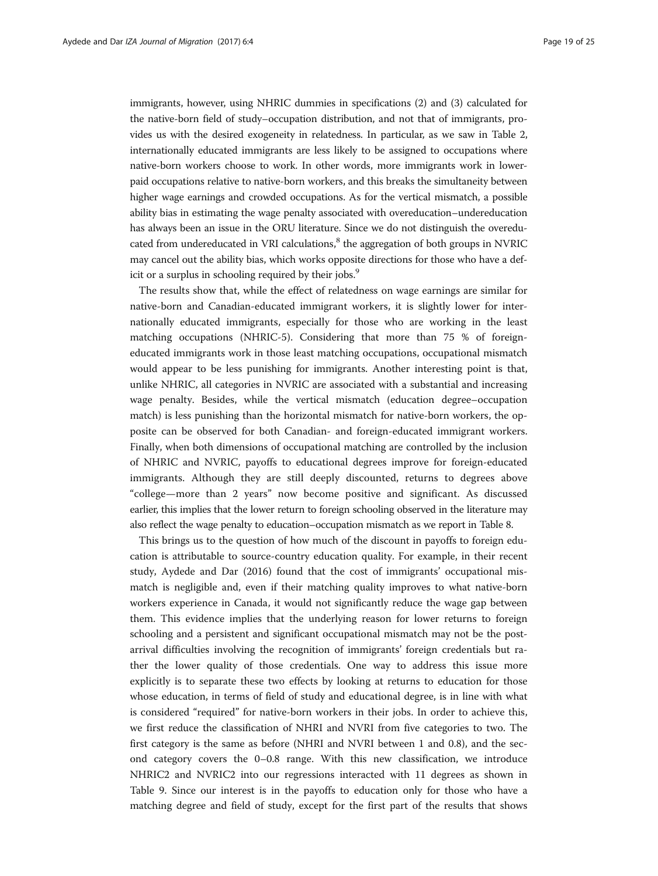immigrants, however, using NHRIC dummies in specifications (2) and (3) calculated for the native-born field of study–occupation distribution, and not that of immigrants, provides us with the desired exogeneity in relatedness. In particular, as we saw in Table [2](#page-9-0), internationally educated immigrants are less likely to be assigned to occupations where native-born workers choose to work. In other words, more immigrants work in lowerpaid occupations relative to native-born workers, and this breaks the simultaneity between higher wage earnings and crowded occupations. As for the vertical mismatch, a possible ability bias in estimating the wage penalty associated with overeducation–undereducation has always been an issue in the ORU literature. Since we do not distinguish the overeducated from undereducated in VRI calculations, ${}^{8}$  the aggregation of both groups in NVRIC may cancel out the ability bias, which works opposite directions for those who have a deficit or a surplus in schooling required by their jobs.<sup>9</sup>

The results show that, while the effect of relatedness on wage earnings are similar for native-born and Canadian-educated immigrant workers, it is slightly lower for internationally educated immigrants, especially for those who are working in the least matching occupations (NHRIC-5). Considering that more than 75 % of foreigneducated immigrants work in those least matching occupations, occupational mismatch would appear to be less punishing for immigrants. Another interesting point is that, unlike NHRIC, all categories in NVRIC are associated with a substantial and increasing wage penalty. Besides, while the vertical mismatch (education degree–occupation match) is less punishing than the horizontal mismatch for native-born workers, the opposite can be observed for both Canadian- and foreign-educated immigrant workers. Finally, when both dimensions of occupational matching are controlled by the inclusion of NHRIC and NVRIC, payoffs to educational degrees improve for foreign-educated immigrants. Although they are still deeply discounted, returns to degrees above "college—more than 2 years" now become positive and significant. As discussed earlier, this implies that the lower return to foreign schooling observed in the literature may also reflect the wage penalty to education–occupation mismatch as we report in Table [8.](#page-17-0)

This brings us to the question of how much of the discount in payoffs to foreign education is attributable to source-country education quality. For example, in their recent study, Aydede and Dar [\(2016\)](#page-23-0) found that the cost of immigrants' occupational mismatch is negligible and, even if their matching quality improves to what native-born workers experience in Canada, it would not significantly reduce the wage gap between them. This evidence implies that the underlying reason for lower returns to foreign schooling and a persistent and significant occupational mismatch may not be the postarrival difficulties involving the recognition of immigrants' foreign credentials but rather the lower quality of those credentials. One way to address this issue more explicitly is to separate these two effects by looking at returns to education for those whose education, in terms of field of study and educational degree, is in line with what is considered "required" for native-born workers in their jobs. In order to achieve this, we first reduce the classification of NHRI and NVRI from five categories to two. The first category is the same as before (NHRI and NVRI between 1 and 0.8), and the second category covers the 0–0.8 range. With this new classification, we introduce NHRIC2 and NVRIC2 into our regressions interacted with 11 degrees as shown in Table [9.](#page-19-0) Since our interest is in the payoffs to education only for those who have a matching degree and field of study, except for the first part of the results that shows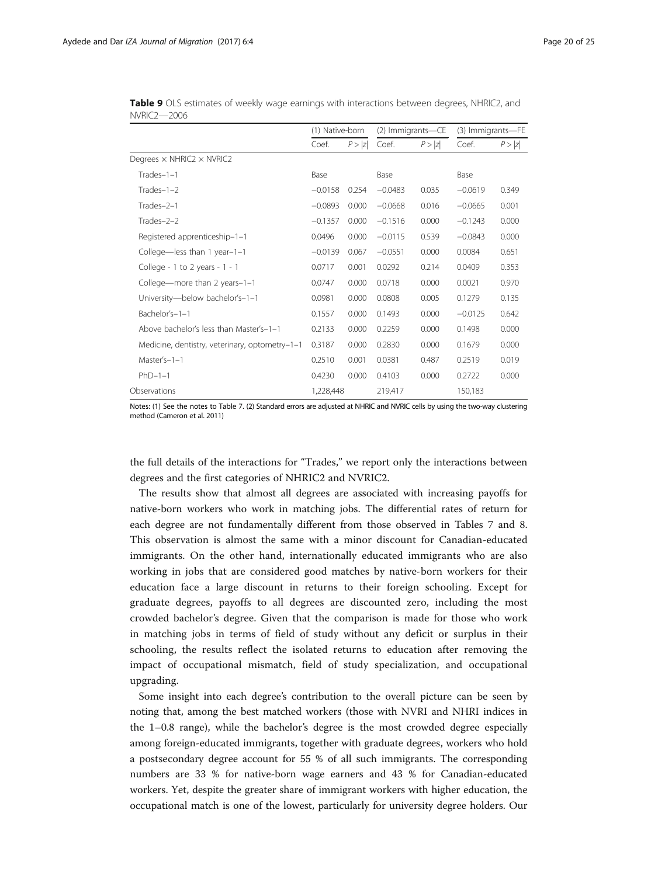|                                                | (1) Native-born |        | (2) Immigrants-CE |        | (3) Immigrants-FE |        |
|------------------------------------------------|-----------------|--------|-------------------|--------|-------------------|--------|
|                                                | Coef.           | P >  z | Coef.             | P >  Z | Coef.             | P >  Z |
| Degrees $\times$ NHRIC2 $\times$ NVRIC2        |                 |        |                   |        |                   |        |
| Trades-1-1                                     | Base            |        | Base              |        | Base              |        |
| $Trades-1-2$                                   | $-0.0158$       | 0.254  | $-0.0483$         | 0.035  | $-0.0619$         | 0.349  |
| Trades-2-1                                     | $-0.0893$       | 0.000  | $-0.0668$         | 0.016  | $-0.0665$         | 0.001  |
| Trades-2-2                                     | $-0.1357$       | 0.000  | $-0.1516$         | 0.000  | $-0.1243$         | 0.000  |
| Registered apprenticeship-1-1                  | 0.0496          | 0.000  | $-0.0115$         | 0.539  | $-0.0843$         | 0.000  |
| College-less than 1 year-1-1                   | $-0.0139$       | 0.067  | $-0.0551$         | 0.000  | 0.0084            | 0.651  |
| College - 1 to 2 years - $1 - 1$               | 0.0717          | 0.001  | 0.0292            | 0.214  | 0.0409            | 0.353  |
| College-more than 2 years-1-1                  | 0.0747          | 0.000  | 0.0718            | 0.000  | 0.0021            | 0.970  |
| University-below bachelor's-1-1                | 0.0981          | 0.000  | 0.0808            | 0.005  | 0.1279            | 0.135  |
| Bachelor's-1-1                                 | 0.1557          | 0.000  | 0.1493            | 0.000  | $-0.0125$         | 0.642  |
| Above bachelor's less than Master's-1-1        | 0.2133          | 0.000  | 0.2259            | 0.000  | 0.1498            | 0.000  |
| Medicine, dentistry, veterinary, optometry-1-1 | 0.3187          | 0.000  | 0.2830            | 0.000  | 0.1679            | 0.000  |
| Master's-1-1                                   | 0.2510          | 0.001  | 0.0381            | 0.487  | 0.2519            | 0.019  |
| $PhD-1-1$                                      | 0.4230          | 0.000  | 0.4103            | 0.000  | 0.2722            | 0.000  |
| Observations                                   | 1,228,448       |        | 219,417           |        | 150,183           |        |

<span id="page-19-0"></span>Table 9 OLS estimates of weekly wage earnings with interactions between degrees, NHRIC2, and NVRIC2—2006

Notes: (1) See the notes to Table [7.](#page-16-0) (2) Standard errors are adjusted at NHRIC and NVRIC cells by using the two-way clustering method (Cameron et al. [2011\)](#page-23-0)

the full details of the interactions for "Trades," we report only the interactions between degrees and the first categories of NHRIC2 and NVRIC2.

The results show that almost all degrees are associated with increasing payoffs for native-born workers who work in matching jobs. The differential rates of return for each degree are not fundamentally different from those observed in Tables [7](#page-16-0) and [8](#page-17-0). This observation is almost the same with a minor discount for Canadian-educated immigrants. On the other hand, internationally educated immigrants who are also working in jobs that are considered good matches by native-born workers for their education face a large discount in returns to their foreign schooling. Except for graduate degrees, payoffs to all degrees are discounted zero, including the most crowded bachelor's degree. Given that the comparison is made for those who work in matching jobs in terms of field of study without any deficit or surplus in their schooling, the results reflect the isolated returns to education after removing the impact of occupational mismatch, field of study specialization, and occupational upgrading.

Some insight into each degree's contribution to the overall picture can be seen by noting that, among the best matched workers (those with NVRI and NHRI indices in the 1–0.8 range), while the bachelor's degree is the most crowded degree especially among foreign-educated immigrants, together with graduate degrees, workers who hold a postsecondary degree account for 55 % of all such immigrants. The corresponding numbers are 33 % for native-born wage earners and 43 % for Canadian-educated workers. Yet, despite the greater share of immigrant workers with higher education, the occupational match is one of the lowest, particularly for university degree holders. Our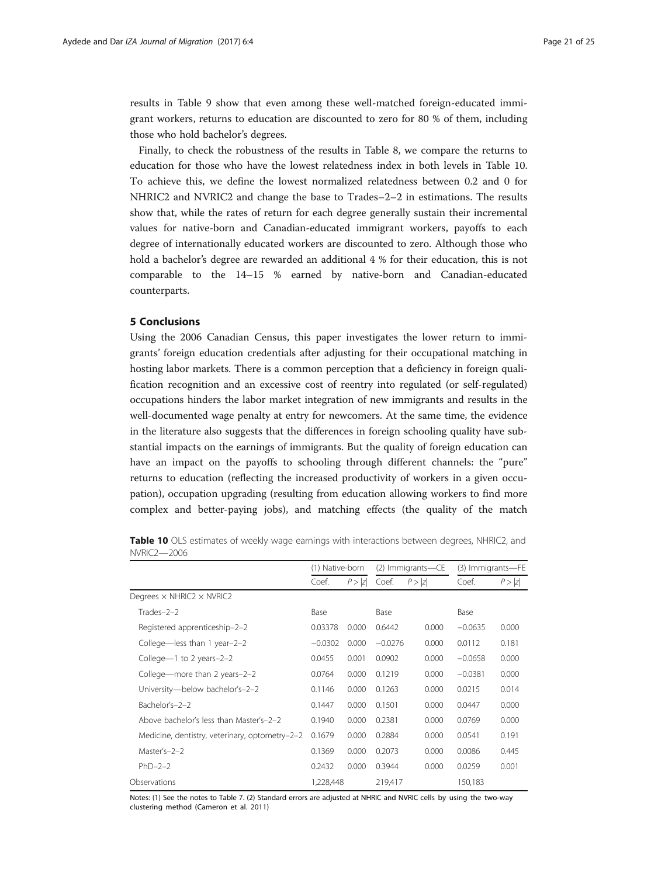<span id="page-20-0"></span>results in Table [9](#page-19-0) show that even among these well-matched foreign-educated immigrant workers, returns to education are discounted to zero for 80 % of them, including those who hold bachelor's degrees.

Finally, to check the robustness of the results in Table [8,](#page-17-0) we compare the returns to education for those who have the lowest relatedness index in both levels in Table 10. To achieve this, we define the lowest normalized relatedness between 0.2 and 0 for NHRIC2 and NVRIC2 and change the base to Trades–2–2 in estimations. The results show that, while the rates of return for each degree generally sustain their incremental values for native-born and Canadian-educated immigrant workers, payoffs to each degree of internationally educated workers are discounted to zero. Although those who hold a bachelor's degree are rewarded an additional 4 % for their education, this is not comparable to the 14–15 % earned by native-born and Canadian-educated counterparts.

## 5 Conclusions

Using the 2006 Canadian Census, this paper investigates the lower return to immigrants' foreign education credentials after adjusting for their occupational matching in hosting labor markets. There is a common perception that a deficiency in foreign qualification recognition and an excessive cost of reentry into regulated (or self-regulated) occupations hinders the labor market integration of new immigrants and results in the well-documented wage penalty at entry for newcomers. At the same time, the evidence in the literature also suggests that the differences in foreign schooling quality have substantial impacts on the earnings of immigrants. But the quality of foreign education can have an impact on the payoffs to schooling through different channels: the "pure" returns to education (reflecting the increased productivity of workers in a given occupation), occupation upgrading (resulting from education allowing workers to find more complex and better-paying jobs), and matching effects (the quality of the match

| <b>Table 10</b> OLS estimates of weekly wage earnings with interactions between degrees, NHRIC2, and |  |                                                           |
|------------------------------------------------------------------------------------------------------|--|-----------------------------------------------------------|
| NVRIC2-2006                                                                                          |  |                                                           |
|                                                                                                      |  | $(1)$ Native-born $(2)$ Immigrants—CE $(3)$ Immigrants—FE |

|                                                | II INGLIVE DUIT |        | (4) ITTITINGIOITUS<br>◡└ |        | $\cup$ in intervents it. |        |
|------------------------------------------------|-----------------|--------|--------------------------|--------|--------------------------|--------|
|                                                | Coef.           | P >  Z | Coef.                    | P >  Z | Coef.                    | P >  Z |
| Degrees $\times$ NHRIC2 $\times$ NVRIC2        |                 |        |                          |        |                          |        |
| Trades-2-2                                     | Base            |        | Base                     |        | Base                     |        |
| Registered apprenticeship-2-2                  | 0.03378         | 0.000  | 0.6442                   | 0.000  | $-0.0635$                | 0.000  |
| College-less than 1 year-2-2                   | $-0.0302$       | 0.000  | $-0.0276$                | 0.000  | 0.0112                   | 0.181  |
| College-1 to 2 years-2-2                       | 0.0455          | 0.001  | 0.0902                   | 0.000  | $-0.0658$                | 0.000  |
| College-more than 2 years-2-2                  | 0.0764          | 0.000  | 0.1219                   | 0.000  | $-0.0381$                | 0.000  |
| University-below bachelor's-2-2                | 0.1146          | 0.000  | 0.1263                   | 0.000  | 0.0215                   | 0.014  |
| Bachelor's-2-2                                 | 0.1447          | 0.000  | 0.1501                   | 0.000  | 0.0447                   | 0.000  |
| Above bachelor's less than Master's-2-2        | 0.1940          | 0.000  | 0.2381                   | 0.000  | 0.0769                   | 0.000  |
| Medicine, dentistry, veterinary, optometry-2-2 | 0.1679          | 0.000  | 0.2884                   | 0.000  | 0.0541                   | 0.191  |
| Master's-2-2                                   | 0.1369          | 0.000  | 0.2073                   | 0.000  | 0.0086                   | 0.445  |
| $PhD-2-2$                                      | 0.2432          | 0.000  | 0.3944                   | 0.000  | 0.0259                   | 0.001  |
| Observations                                   | 1,228,448       |        | 219,417                  |        | 150,183                  |        |

Notes: (1) See the notes to Table [7.](#page-16-0) (2) Standard errors are adjusted at NHRIC and NVRIC cells by using the two-way clustering method (Cameron et al. [2011\)](#page-23-0)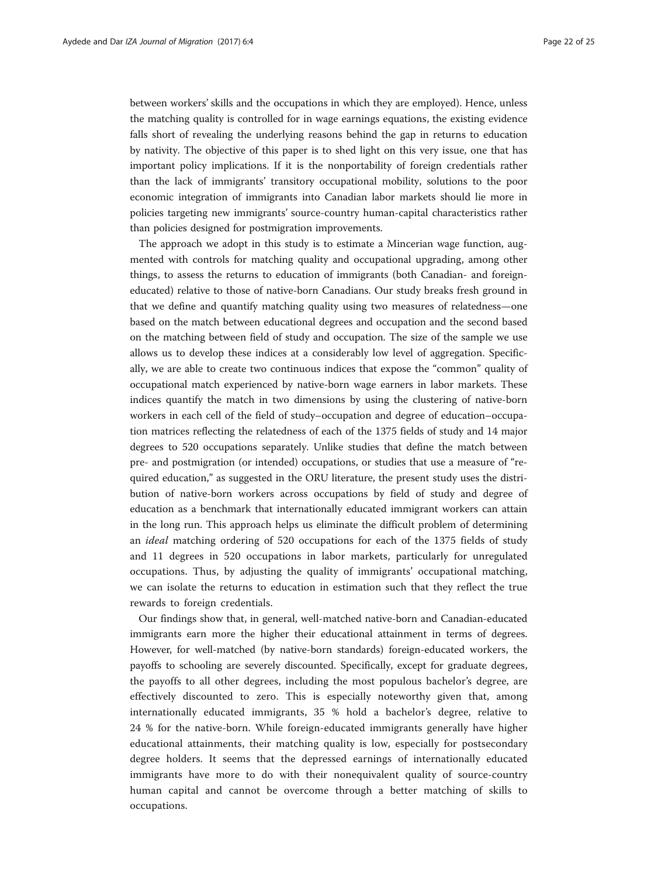between workers' skills and the occupations in which they are employed). Hence, unless the matching quality is controlled for in wage earnings equations, the existing evidence falls short of revealing the underlying reasons behind the gap in returns to education by nativity. The objective of this paper is to shed light on this very issue, one that has important policy implications. If it is the nonportability of foreign credentials rather than the lack of immigrants' transitory occupational mobility, solutions to the poor economic integration of immigrants into Canadian labor markets should lie more in policies targeting new immigrants' source-country human-capital characteristics rather than policies designed for postmigration improvements.

The approach we adopt in this study is to estimate a Mincerian wage function, augmented with controls for matching quality and occupational upgrading, among other things, to assess the returns to education of immigrants (both Canadian- and foreigneducated) relative to those of native-born Canadians. Our study breaks fresh ground in that we define and quantify matching quality using two measures of relatedness—one based on the match between educational degrees and occupation and the second based on the matching between field of study and occupation. The size of the sample we use allows us to develop these indices at a considerably low level of aggregation. Specifically, we are able to create two continuous indices that expose the "common" quality of occupational match experienced by native-born wage earners in labor markets. These indices quantify the match in two dimensions by using the clustering of native-born workers in each cell of the field of study–occupation and degree of education–occupation matrices reflecting the relatedness of each of the 1375 fields of study and 14 major degrees to 520 occupations separately. Unlike studies that define the match between pre- and postmigration (or intended) occupations, or studies that use a measure of "required education," as suggested in the ORU literature, the present study uses the distribution of native-born workers across occupations by field of study and degree of education as a benchmark that internationally educated immigrant workers can attain in the long run. This approach helps us eliminate the difficult problem of determining an ideal matching ordering of 520 occupations for each of the 1375 fields of study and 11 degrees in 520 occupations in labor markets, particularly for unregulated occupations. Thus, by adjusting the quality of immigrants' occupational matching, we can isolate the returns to education in estimation such that they reflect the true rewards to foreign credentials.

Our findings show that, in general, well-matched native-born and Canadian-educated immigrants earn more the higher their educational attainment in terms of degrees. However, for well-matched (by native-born standards) foreign-educated workers, the payoffs to schooling are severely discounted. Specifically, except for graduate degrees, the payoffs to all other degrees, including the most populous bachelor's degree, are effectively discounted to zero. This is especially noteworthy given that, among internationally educated immigrants, 35 % hold a bachelor's degree, relative to 24 % for the native-born. While foreign-educated immigrants generally have higher educational attainments, their matching quality is low, especially for postsecondary degree holders. It seems that the depressed earnings of internationally educated immigrants have more to do with their nonequivalent quality of source-country human capital and cannot be overcome through a better matching of skills to occupations.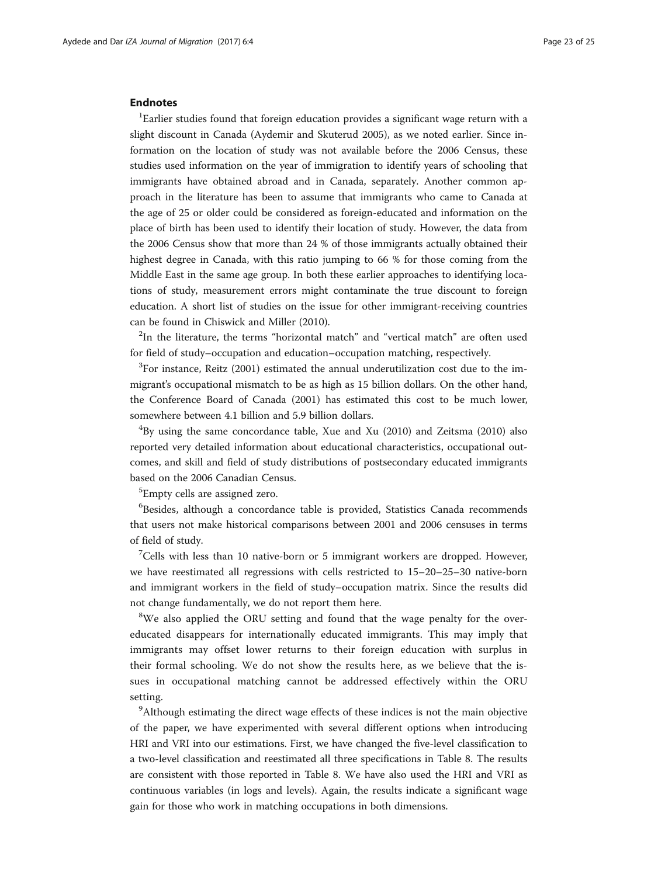#### **Endnotes**

<sup>1</sup>Earlier studies found that foreign education provides a significant wage return with a slight discount in Canada (Aydemir and Skuterud [2005\)](#page-23-0), as we noted earlier. Since information on the location of study was not available before the 2006 Census, these studies used information on the year of immigration to identify years of schooling that immigrants have obtained abroad and in Canada, separately. Another common approach in the literature has been to assume that immigrants who came to Canada at the age of 25 or older could be considered as foreign-educated and information on the place of birth has been used to identify their location of study. However, the data from the 2006 Census show that more than 24 % of those immigrants actually obtained their highest degree in Canada, with this ratio jumping to 66 % for those coming from the Middle East in the same age group. In both these earlier approaches to identifying locations of study, measurement errors might contaminate the true discount to foreign education. A short list of studies on the issue for other immigrant-receiving countries can be found in Chiswick and Miller ([2010\)](#page-23-0).

<sup>2</sup>In the literature, the terms "horizontal match" and "vertical match" are often used for field of study–occupation and education–occupation matching, respectively.

 ${}^{3}$ For instance, Reitz ([2001](#page-24-0)) estimated the annual underutilization cost due to the immigrant's occupational mismatch to be as high as 15 billion dollars. On the other hand, the Conference Board of Canada [\(2001\)](#page-23-0) has estimated this cost to be much lower, somewhere between 4.1 billion and 5.9 billion dollars.

<sup>4</sup>By using the same concordance table, [Xue and Xu \(2010\)](#page-24-0) and Zeitsma [\(2010\)](#page-24-0) also reported very detailed information about educational characteristics, occupational outcomes, and skill and field of study distributions of postsecondary educated immigrants based on the 2006 Canadian Census.

<sup>5</sup>Empty cells are assigned zero.

<sup>6</sup>Besides, although a concordance table is provided, Statistics Canada recommends that users not make historical comparisons between 2001 and 2006 censuses in terms of field of study.

 $7$ Cells with less than 10 native-born or 5 immigrant workers are dropped. However, we have reestimated all regressions with cells restricted to 15–20–25–30 native-born and immigrant workers in the field of study–occupation matrix. Since the results did not change fundamentally, we do not report them here.

<sup>8</sup>We also applied the ORU setting and found that the wage penalty for the overeducated disappears for internationally educated immigrants. This may imply that immigrants may offset lower returns to their foreign education with surplus in their formal schooling. We do not show the results here, as we believe that the issues in occupational matching cannot be addressed effectively within the ORU setting.

<sup>9</sup>Although estimating the direct wage effects of these indices is not the main objective of the paper, we have experimented with several different options when introducing HRI and VRI into our estimations. First, we have changed the five-level classification to a two-level classification and reestimated all three specifications in Table [8](#page-17-0). The results are consistent with those reported in Table [8](#page-17-0). We have also used the HRI and VRI as continuous variables (in logs and levels). Again, the results indicate a significant wage gain for those who work in matching occupations in both dimensions.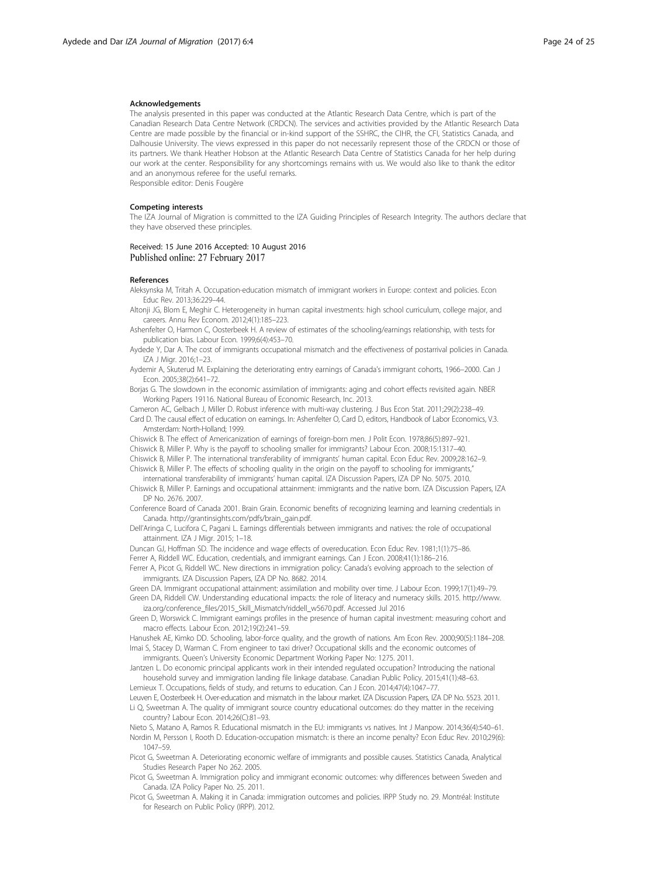#### <span id="page-23-0"></span>Acknowledgements

The analysis presented in this paper was conducted at the Atlantic Research Data Centre, which is part of the Canadian Research Data Centre Network (CRDCN). The services and activities provided by the Atlantic Research Data Centre are made possible by the financial or in-kind support of the SSHRC, the CIHR, the CFI, Statistics Canada, and Dalhousie University. The views expressed in this paper do not necessarily represent those of the CRDCN or those of its partners. We thank Heather Hobson at the Atlantic Research Data Centre of Statistics Canada for her help during our work at the center. Responsibility for any shortcomings remains with us. We would also like to thank the editor and an anonymous referee for the useful remarks. Responsible editor: Denis Fougère

#### Competing interests

The IZA Journal of Migration is committed to the IZA Guiding Principles of Research Integrity. The authors declare that they have observed these principles.

#### Received: 15 June 2016 Accepted: 10 August 2016 Published online: 27 February 2017

#### References

Aleksynska M, Tritah A. Occupation-education mismatch of immigrant workers in Europe: context and policies. Econ Educ Rev. 2013;36:229–44.

Altonji JG, Blom E, Meghir C. Heterogeneity in human capital investments: high school curriculum, college major, and careers. Annu Rev Econom. 2012;4(1):185–223.

Ashenfelter O, Harmon C, Oosterbeek H. A review of estimates of the schooling/earnings relationship, with tests for publication bias. Labour Econ. 1999;6(4):453–70.

Aydede Y, Dar A. The cost of immigrants occupational mismatch and the effectiveness of postarrival policies in Canada. IZA J Migr. 2016;1–23.

Aydemir A, Skuterud M. Explaining the deteriorating entry earnings of Canada's immigrant cohorts, 1966–2000. Can J Econ. 2005;38(2):641–72.

Borjas G. The slowdown in the economic assimilation of immigrants: aging and cohort effects revisited again. NBER Working Papers 19116. National Bureau of Economic Research, Inc. 2013.

Cameron AC, Gelbach J, Miller D. Robust inference with multi-way clustering. J Bus Econ Stat. 2011;29(2):238–49. Card D. The causal effect of education on earnings. In: Ashenfelter O, Card D, editors, Handbook of Labor Economics, V.3. Amsterdam: North-Holland; 1999.

Chiswick B. The effect of Americanization of earnings of foreign-born men. J Polit Econ. 1978;86(5):897–921.

Chiswick B, Miller P. Why is the payoff to schooling smaller for immigrants? Labour Econ. 2008;15:1317–40.

Chiswick B, Miller P. The international transferability of immigrants' human capital. Econ Educ Rev. 2009;28:162–9.

Chiswick B, Miller P. The effects of schooling quality in the origin on the payoff to schooling for immigrants,"

international transferability of immigrants' human capital. IZA Discussion Papers, IZA DP No. 5075. 2010. Chiswick B, Miller P. Earnings and occupational attainment: immigrants and the native born. IZA Discussion Papers, IZA DP No. 2676. 2007.

Conference Board of Canada 2001. Brain Grain. Economic benefits of recognizing learning and learning credentials in Canada. [http://grantinsights.com/pdfs/brain\\_gain.pdf.](http://grantinsights.com/pdfs/brain_gain.pdf)

Dell'Aringa C, Lucifora C, Pagani L. Earnings differentials between immigrants and natives: the role of occupational attainment. IZA J Migr. 2015; 1–18.

Duncan GJ, Hoffman SD. The incidence and wage effects of overeducation. Econ Educ Rev. 1981;1(1):75–86. Ferrer A, Riddell WC. Education, credentials, and immigrant earnings. Can J Econ. 2008;41(1):186–216.

Ferrer A, Picot G, Riddell WC. New directions in immigration policy: Canada's evolving approach to the selection of immigrants. IZA Discussion Papers, IZA DP No. 8682. 2014.

Green DA. Immigrant occupational attainment: assimilation and mobility over time. J Labour Econ. 1999;17(1):49–79. Green DA, Riddell CW. Understanding educational impacts: the role of literacy and numeracy skills. 2015. [http://www.](http://www.iza.org/conference_files/2015_Skill_Mismatch/riddell_w5670.pdf) [iza.org/conference\\_files/2015\\_Skill\\_Mismatch/riddell\\_w5670.pdf](http://www.iza.org/conference_files/2015_Skill_Mismatch/riddell_w5670.pdf). Accessed Jul 2016

Green D, Worswick C. Immigrant earnings profiles in the presence of human capital investment: measuring cohort and macro effects. Labour Econ. 2012;19(2):241–59.

Hanushek AE, Kimko DD. Schooling, labor-force quality, and the growth of nations. Am Econ Rev. 2000;90(5):1184–208. Imai S, Stacey D, Warman C. From engineer to taxi driver? Occupational skills and the economic outcomes of

immigrants. Queen's University Economic Department Working Paper No: 1275. 2011.

Jantzen L. Do economic principal applicants work in their intended regulated occupation? Introducing the national household survey and immigration landing file linkage database. Canadian Public Policy. 2015;41(1):48–63. Lemieux T. Occupations, fields of study, and returns to education. Can J Econ. 2014;47(4):1047–77.

Leuven E, Oosterbeek H. Over-education and mismatch in the labour market. IZA Discussion Papers, IZA DP No. 5523. 2011. Li Q, Sweetman A. The quality of immigrant source country educational outcomes: do they matter in the receiving country? Labour Econ. 2014;26(C):81–93.

Nieto S, Matano A, Ramos R. Educational mismatch in the EU: immigrants vs natives. Int J Manpow. 2014;36(4):540–61. Nordin M, Persson I, Rooth D. Education-occupation mismatch: is there an income penalty? Econ Educ Rev. 2010;29(6): 1047–59.

Picot G, Sweetman A. Deteriorating economic welfare of immigrants and possible causes. Statistics Canada, Analytical Studies Research Paper No 262. 2005.

Picot G, Sweetman A. Immigration policy and immigrant economic outcomes: why differences between Sweden and Canada. IZA Policy Paper No. 25. 2011.

Picot G, Sweetman A. Making it in Canada: immigration outcomes and policies. IRPP Study no. 29. Montréal: Institute for Research on Public Policy (IRPP). 2012.